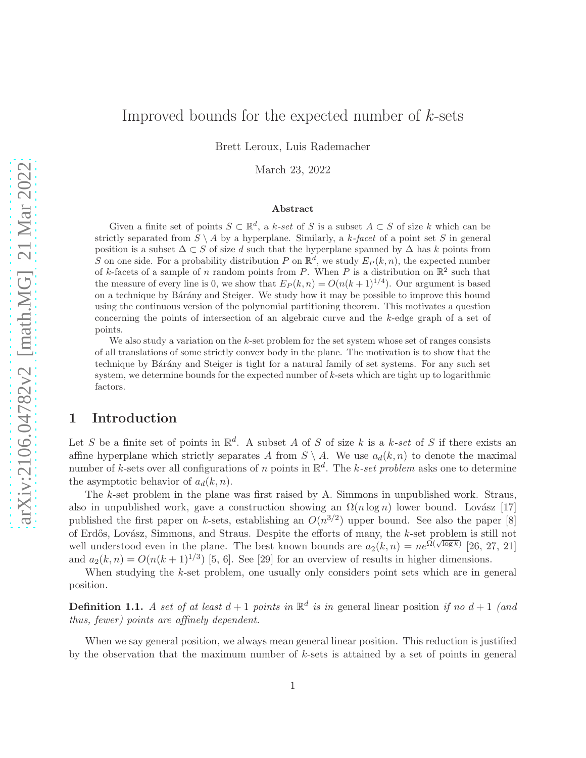# Improved bounds for the expected number of  $k$ -sets

Brett Leroux, Luis Rademacher

March 23, 2022

#### Abstract

Given a finite set of points  $S \subset \mathbb{R}^d$ , a k-set of S is a subset  $A \subset S$  of size k which can be strictly separated from  $S \setminus A$  by a hyperplane. Similarly, a k-facet of a point set S in general position is a subset  $\Delta \subset S$  of size d such that the hyperplane spanned by  $\Delta$  has k points from S on one side. For a probability distribution P on  $\mathbb{R}^d$ , we study  $E_P(k,n)$ , the expected number of k-facets of a sample of n random points from P. When P is a distribution on  $\mathbb{R}^2$  such that the measure of every line is 0, we show that  $E_P(k,n) = O(n(k+1)^{1/4})$ . Our argument is based on a technique by Bárány and Steiger. We study how it may be possible to improve this bound using the continuous version of the polynomial partitioning theorem. This motivates a question concerning the points of intersection of an algebraic curve and the k-edge graph of a set of points.

We also study a variation on the  $k$ -set problem for the set system whose set of ranges consists of all translations of some strictly convex body in the plane. The motivation is to show that the technique by Bárány and Steiger is tight for a natural family of set systems. For any such set system, we determine bounds for the expected number of  $k$ -sets which are tight up to logarithmic factors.

## 1 Introduction

Let S be a finite set of points in  $\mathbb{R}^d$ . A subset A of S of size k is a k-set of S if there exists an affine hyperplane which strictly separates A from  $S \setminus A$ . We use  $a_d(k,n)$  to denote the maximal number of k-sets over all configurations of n points in  $\mathbb{R}^d$ . The k-set problem asks one to determine the asymptotic behavior of  $a_d(k, n)$ .

The k-set problem in the plane was first raised by A. Simmons in unpublished work. Straus, also in unpublished work, gave a construction showing an  $\Omega(n \log n)$  lower bound. Lovász [\[17\]](#page-22-0) published the first paper on k-sets, establishing an  $O(n^{3/2})$  upper bound. See also the paper [\[8\]](#page-22-1) of Erdős, Lovász, Simmons, and Straus. Despite the efforts of many, the k-set problem is still not well understood even in the plane. The best known bounds are  $a_2(k,n) = ne^{\Omega(\sqrt{\log k})}$  [26, [27,](#page-23-0) [21\]](#page-23-1) and  $a_2(k,n) = O(n(k+1)^{1/3})$  [\[5,](#page-22-2) 6]. See [\[29\]](#page-23-2) for an overview of results in higher dimensions.

When studying the k-set problem, one usually only considers point sets which are in general position.

**Definition 1.1.** A set of at least  $d+1$  points in  $\mathbb{R}^d$  is in general linear position if no  $d+1$  (and thus, fewer) points are affinely dependent.

When we say general position, we always mean general linear position. This reduction is justified by the observation that the maximum number of k-sets is attained by a set of points in general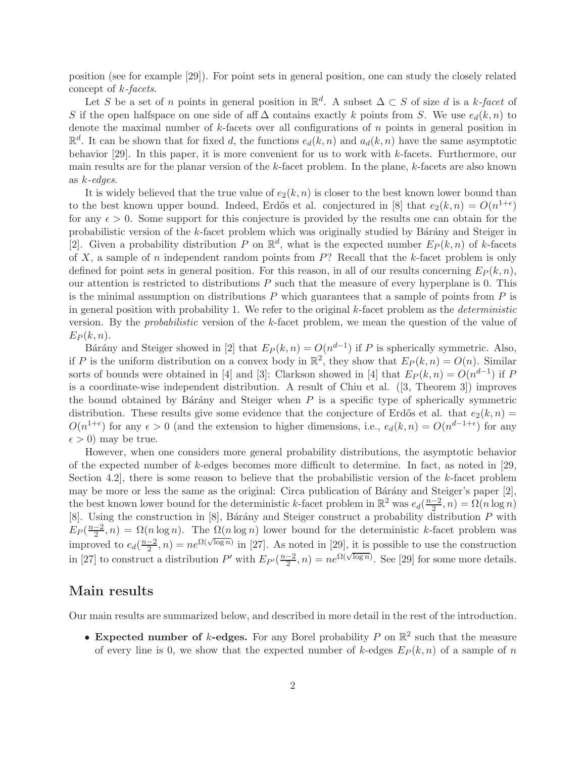position (see for example [\[29\]](#page-23-2)). For point sets in general position, one can study the closely related concept of k-facets.

Let S be a set of n points in general position in  $\mathbb{R}^d$ . A subset  $\Delta \subset S$  of size d is a k-facet of S if the open halfspace on one side of aff  $\Delta$  contains exactly k points from S. We use  $e_d(k, n)$  to denote the maximal number of  $k$ -facets over all configurations of  $n$  points in general position in  $\mathbb{R}^d$ . It can be shown that for fixed d, the functions  $e_d(k, n)$  and  $a_d(k, n)$  have the same asymptotic behavior [\[29\]](#page-23-2). In this paper, it is more convenient for us to work with k-facets. Furthermore, our main results are for the planar version of the  $k$ -facet problem. In the plane,  $k$ -facets are also known as k-edges.

It is widely believed that the true value of  $e_2(k, n)$  is closer to the best known lower bound than to the best known upper bound. Indeed, Erdős et al. conjectured in [\[8\]](#page-22-1) that  $e_2(k,n) = O(n^{1+\epsilon})$ for any  $\epsilon > 0$ . Some support for this conjecture is provided by the results one can obtain for the probabilistic version of the k-facet problem which was originally studied by Bárány and Steiger in [\[2\]](#page-22-3). Given a probability distribution P on  $\mathbb{R}^d$ , what is the expected number  $E_P(k,n)$  of k-facets of  $X$ , a sample of  $n$  independent random points from  $P$ ? Recall that the  $k$ -facet problem is only defined for point sets in general position. For this reason, in all of our results concerning  $E_P(k, n)$ , our attention is restricted to distributions  $P$  such that the measure of every hyperplane is 0. This is the minimal assumption on distributions  $P$  which guarantees that a sample of points from  $P$  is in general position with probability 1. We refer to the original k-facet problem as the deterministic version. By the probabilistic version of the k-facet problem, we mean the question of the value of  $E_P(k,n)$ .

Bárány and Steiger showed in [\[2\]](#page-22-3) that  $E_P(k,n) = O(n^{d-1})$  if P is spherically symmetric. Also, if P is the uniform distribution on a convex body in  $\mathbb{R}^2$ , they show that  $E_P(k,n) = O(n)$ . Similar sorts of bounds were obtained in [\[4\]](#page-22-4) and [\[3\]](#page-22-5): Clarkson showed in [4] that  $E_P(k,n) = O(n^{d-1})$  if P is a coordinate-wise independent distribution. A result of Chiu et al. ([\[3,](#page-22-5) Theorem 3]) improves the bound obtained by Bárány and Steiger when  $P$  is a specific type of spherically symmetric distribution. These results give some evidence that the conjecture of Erdős et al. that  $e_2(k,n)$  $O(n^{1+\epsilon})$  for any  $\epsilon > 0$  (and the extension to higher dimensions, i.e.,  $e_d(k,n) = O(n^{d-1+\epsilon})$  for any  $\epsilon > 0$  may be true.

However, when one considers more general probability distributions, the asymptotic behavior of the expected number of k-edges becomes more difficult to determine. In fact, as noted in [\[29,](#page-23-2) Section 4.2, there is some reason to believe that the probabilistic version of the k-facet problem may be more or less the same as the original: Circa publication of Bárány and Steiger's paper  $[2]$ , the best known lower bound for the deterministic k-facet problem in  $\mathbb{R}^2$  was  $e_d(\frac{n-2}{2}, n) = \Omega(n \log n)$ [\[8\]](#page-22-1). Using the construction in [\[8\]](#page-22-1), Bárány and Steiger construct a probability distribution  $P$  with  $E_P(\frac{n-2}{2}, n) = \Omega(n \log n)$ . The  $\Omega(n \log n)$  lower bound for the deterministic k-facet problem was improved to  $e_d(\frac{n-2}{2}, n) = ne^{\Omega(\sqrt{\log n})}$  in [\[27\]](#page-23-0). As noted in [\[29\]](#page-23-2), it is possible to use the construction in [\[27\]](#page-23-0) to construct a distribution P' with  $E_{P'}(\frac{n-2}{2}, n) = ne^{\Omega(\sqrt{\log n})}$ . See [\[29\]](#page-23-2) for some more details.

### Main results

Our main results are summarized below, and described in more detail in the rest of the introduction.

• Expected number of k-edges. For any Borel probability P on  $\mathbb{R}^2$  such that the measure of every line is 0, we show that the expected number of k-edges  $E_P(k, n)$  of a sample of n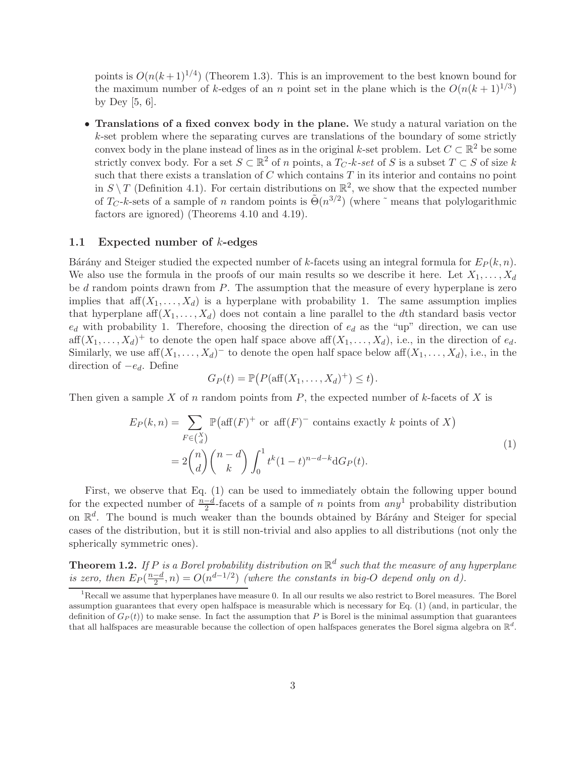points is  $O(n(k+1)^{1/4})$  (Theorem [1.3\)](#page-3-0). This is an improvement to the best known bound for the maximum number of k-edges of an n point set in the plane which is the  $O(n(k+1)^{1/3})$ by Dey [\[5,](#page-22-2) 6].

• Translations of a fixed convex body in the plane. We study a natural variation on the  $k$ -set problem where the separating curves are translations of the boundary of some strictly convex body in the plane instead of lines as in the original k-set problem. Let  $C \subset \mathbb{R}^2$  be some strictly convex body. For a set  $S \subset \mathbb{R}^2$  of n points, a  $T_C$ -k-set of S is a subset  $T \subset S$  of size k such that there exists a translation of  $C$  which contains  $T$  in its interior and contains no point in  $S \setminus T$  (Definition [4.1\)](#page-13-0). For certain distributions on  $\mathbb{R}^2$ , we show that the expected number of  $T_C$ -k-sets of a sample of n random points is  $\tilde{\Theta}(n^{3/2})$  (where  $\tilde{\ }$  means that polylogarithmic factors are ignored) (Theorems [4.10](#page-15-0) and [4.19\)](#page-20-0).

### 1.1 Expected number of k-edges

Bárány and Steiger studied the expected number of k-facets using an integral formula for  $E_P(k, n)$ . We also use the formula in the proofs of our main results so we describe it here. Let  $X_1, \ldots, X_d$ be  $d$  random points drawn from  $P$ . The assumption that the measure of every hyperplane is zero implies that  $\text{aff}(X_1, \ldots, X_d)$  is a hyperplane with probability 1. The same assumption implies that hyperplane aff $(X_1, \ldots, X_d)$  does not contain a line parallel to the dth standard basis vector  $e_d$  with probability 1. Therefore, choosing the direction of  $e_d$  as the "up" direction, we can use  $\text{aff}(X_1,\ldots,X_d)^+$  to denote the open half space above  $\text{aff}(X_1,\ldots,X_d)$ , i.e., in the direction of  $e_d$ . Similarly, we use  $\text{aff}(X_1,\ldots,X_d)^-$  to denote the open half space below  $\text{aff}(X_1,\ldots,X_d)$ , i.e., in the direction of  $-e_d$ . Define

$$
G_P(t) = \mathbb{P}\big(P(\text{aff}(X_1,\ldots,X_d)^+) \leq t\big).
$$

<span id="page-2-0"></span>Then given a sample X of n random points from  $P$ , the expected number of k-facets of X is

$$
E_P(k, n) = \sum_{F \in {X \choose d}} \mathbb{P}(\text{aff}(F)^+ \text{ or aff}(F)^- \text{ contains exactly } k \text{ points of } X)
$$
  
= 
$$
2 {n \choose d} {n-d \choose k} \int_0^1 t^k (1-t)^{n-d-k} dG_P(t).
$$
 (1)

First, we observe that Eq. [\(1\)](#page-2-0) can be used to immediately obtain the following upper bound for the expected number of  $\frac{n-d}{2}$ -facets of a sample of n points from  $any^1$  $any^1$  probability distribution on  $\mathbb{R}^d$ . The bound is much weaker than the bounds obtained by Bárány and Steiger for special cases of the distribution, but it is still non-trivial and also applies to all distributions (not only the spherically symmetric ones).

<span id="page-2-2"></span>**Theorem 1.2.** If P is a Borel probability distribution on  $\mathbb{R}^d$  such that the measure of any hyperplane is zero, then  $E_P(\frac{n-d}{2}, n) = O(n^{d-1/2})$  (where the constants in big-O depend only on d).

<span id="page-2-1"></span><sup>&</sup>lt;sup>1</sup>Recall we assume that hyperplanes have measure 0. In all our results we also restrict to Borel measures. The Borel assumption guarantees that every open halfspace is measurable which is necessary for Eq. [\(1\)](#page-2-0) (and, in particular, the definition of  $G_P(t)$  to make sense. In fact the assumption that P is Borel is the minimal assumption that guarantees that all halfspaces are measurable because the collection of open halfspaces generates the Borel sigma algebra on  $\mathbb{R}^d$ .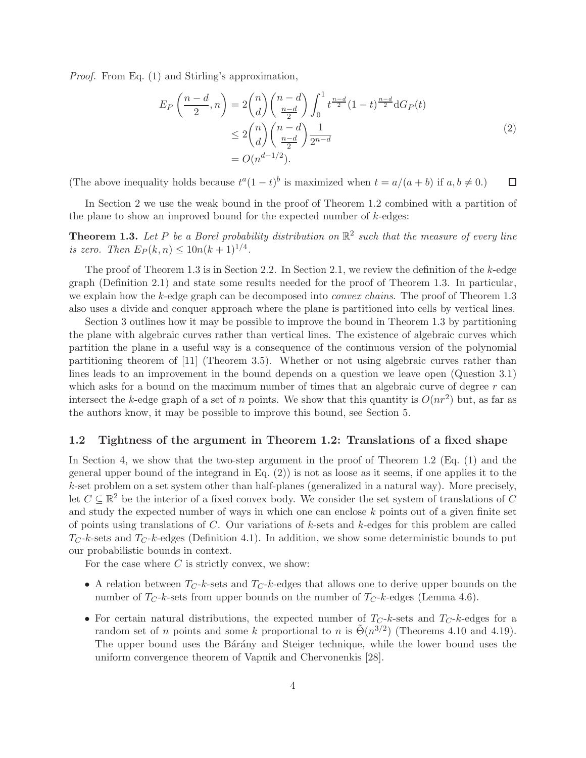<span id="page-3-1"></span>Proof. From Eq. [\(1\)](#page-2-0) and Stirling's approximation,

$$
E_P\left(\frac{n-d}{2}, n\right) = 2\binom{n}{d}\binom{n-d}{\frac{n-d}{2}}\int_0^1 t^{\frac{n-d}{2}} (1-t)^{\frac{n-d}{2}} dG_P(t)
$$
  
\n
$$
\leq 2\binom{n}{d}\binom{n-d}{\frac{n-d}{2}}\frac{1}{2^{n-d}}
$$
  
\n
$$
= O(n^{d-1/2}).
$$
\n(2)

(The above inequality holds because  $t^a(1-t)^b$  is maximized when  $t = a/(a + b)$  if  $a, b \neq 0$ .)  $\Box$ 

<span id="page-3-0"></span>In Section [2](#page-4-0) we use the weak bound in the proof of Theorem [1.2](#page-2-2) combined with a partition of the plane to show an improved bound for the expected number of  $k$ -edges:

**Theorem 1.3.** Let P be a Borel probability distribution on  $\mathbb{R}^2$  such that the measure of every line is zero. Then  $E_P(k, n) \leq 10n(k+1)^{1/4}$ .

The proof of Theorem [1.3](#page-3-0) is in Section [2.2.](#page-4-1) In Section [2.1,](#page-4-2) we review the definition of the  $k$ -edge graph (Definition [2.1\)](#page-4-3) and state some results needed for the proof of Theorem [1.3.](#page-3-0) In particular, we explain how the k-edge graph can be decomposed into *convex chains*. The proof of Theorem [1.3](#page-3-0) also uses a divide and conquer approach where the plane is partitioned into cells by vertical lines.

Section [3](#page-7-0) outlines how it may be possible to improve the bound in Theorem [1.3](#page-3-0) by partitioning the plane with algebraic curves rather than vertical lines. The existence of algebraic curves which partition the plane in a useful way is a consequence of the continuous version of the polynomial partitioning theorem of [\[11\]](#page-22-6) (Theorem [3.5\)](#page-9-0). Whether or not using algebraic curves rather than lines leads to an improvement in the bound depends on a question we leave open (Question [3.1\)](#page-7-1) which asks for a bound on the maximum number of times that an algebraic curve of degree  $r$  can intersect the k-edge graph of a set of n points. We show that this quantity is  $O(nr^2)$  but, as far as the authors know, it may be possible to improve this bound, see Section [5.](#page-21-0)

#### 1.2 Tightness of the argument in Theorem [1.2:](#page-2-2) Translations of a fixed shape

In Section [4,](#page-12-0) we show that the two-step argument in the proof of Theorem [1.2](#page-2-2) (Eq. [\(1\)](#page-2-0) and the general upper bound of the integrand in Eq.  $(2)$ ) is not as loose as it seems, if one applies it to the k-set problem on a set system other than half-planes (generalized in a natural way). More precisely, let  $C \subseteq \mathbb{R}^2$  be the interior of a fixed convex body. We consider the set system of translations of C and study the expected number of ways in which one can enclose k points out of a given finite set of points using translations of  $C$ . Our variations of  $k$ -sets and  $k$ -edges for this problem are called  $T_C$ -k-sets and  $T_C$ -k-edges (Definition [4.1\)](#page-13-0). In addition, we show some deterministic bounds to put our probabilistic bounds in context.

For the case where  $C$  is strictly convex, we show:

- A relation between  $T_{C}$ -k-sets and  $T_{C}$ -k-edges that allows one to derive upper bounds on the number of  $T_C$ -k-sets from upper bounds on the number of  $T_C$ -k-edges (Lemma [4.6\)](#page-14-0).
- For certain natural distributions, the expected number of  $T_{C}$ -k-sets and  $T_{C}$ -k-edges for a random set of *n* points and some k proportional to *n* is  $\tilde{\Theta}(n^{3/2})$  (Theorems [4.10](#page-15-0) and [4.19\)](#page-20-0). The upper bound uses the Ba<sup>r</sup>any and Steiger technique, while the lower bound uses the uniform convergence theorem of Vapnik and Chervonenkis [\[28\]](#page-23-3).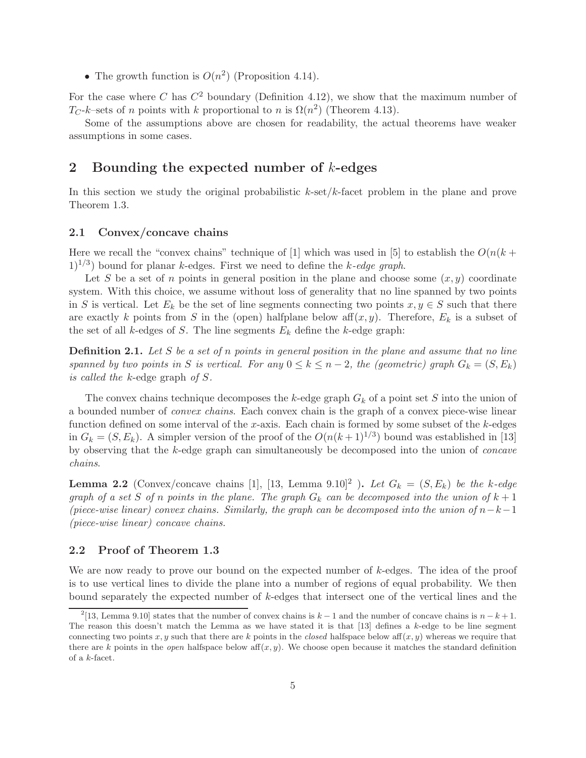• The growth function is  $O(n^2)$  (Proposition [4.14\)](#page-17-0).

For the case where C has  $C^2$  boundary (Definition [4.12\)](#page-16-0), we show that the maximum number of  $T_C-k$ -sets of n points with k proportional to n is  $\Omega(n^2)$  (Theorem [4.13\)](#page-16-1).

Some of the assumptions above are chosen for readability, the actual theorems have weaker assumptions in some cases.

### <span id="page-4-0"></span>2 Bounding the expected number of k-edges

In this section we study the original probabilistic  $k$ -set/ $k$ -facet problem in the plane and prove Theorem [1.3.](#page-3-0)

#### <span id="page-4-2"></span>2.1 Convex/concave chains

Here we recall the "convex chains" technique of [\[1\]](#page-21-1) which was used in [\[5\]](#page-22-2) to establish the  $O(n(k +$  $1)^{1/3}$  bound for planar k-edges. First we need to define the k-edge graph.

Let S be a set of n points in general position in the plane and choose some  $(x, y)$  coordinate system. With this choice, we assume without loss of generality that no line spanned by two points in S is vertical. Let  $E_k$  be the set of line segments connecting two points  $x, y \in S$  such that there are exactly k points from S in the (open) halfplane below aff $(x, y)$ . Therefore,  $E_k$  is a subset of the set of all k-edges of S. The line segments  $E_k$  define the k-edge graph:

<span id="page-4-3"></span>**Definition 2.1.** Let  $S$  be a set of  $n$  points in general position in the plane and assume that no line spanned by two points in S is vertical. For any  $0 \le k \le n-2$ , the (geometric) graph  $G_k = (S, E_k)$ is called the k-edge graph of S.

The convex chains technique decomposes the k-edge graph  $G_k$  of a point set S into the union of a bounded number of convex chains. Each convex chain is the graph of a convex piece-wise linear function defined on some interval of the  $x$ -axis. Each chain is formed by some subset of the  $k$ -edges in  $G_k = (S, E_k)$ . A simpler version of the proof of the  $O(n(k+1)^{1/3})$  bound was established in [\[13\]](#page-22-7) by observing that the k-edge graph can simultaneously be decomposed into the union of concave chains.

<span id="page-4-5"></span>**Lemma [2](#page-4-4).2** (Convex/concave chains [\[1\]](#page-21-1), [\[13,](#page-22-7) Lemma 9.10]<sup>2</sup> ). Let  $G_k = (S, E_k)$  be the k-edge graph of a set S of n points in the plane. The graph  $G_k$  can be decomposed into the union of  $k+1$ (piece-wise linear) convex chains. Similarly, the graph can be decomposed into the union of  $n-k-1$ (piece-wise linear) concave chains.

#### <span id="page-4-1"></span>2.2 Proof of Theorem [1.3](#page-3-0)

We are now ready to prove our bound on the expected number of k-edges. The idea of the proof is to use vertical lines to divide the plane into a number of regions of equal probability. We then bound separately the expected number of k-edges that intersect one of the vertical lines and the

<span id="page-4-4"></span><sup>&</sup>lt;sup>2</sup>[\[13,](#page-22-7) Lemma 9.10] states that the number of convex chains is  $k-1$  and the number of concave chains is  $n-k+1$ . The reason this doesn't match the Lemma as we have stated it is that [\[13\]](#page-22-7) defines a k-edge to be line segment connecting two points x, y such that there are k points in the *closed* halfspace below aff $(x, y)$  whereas we require that there are k points in the open halfspace below aff $(x, y)$ . We choose open because it matches the standard definition of a  $k$ -facet.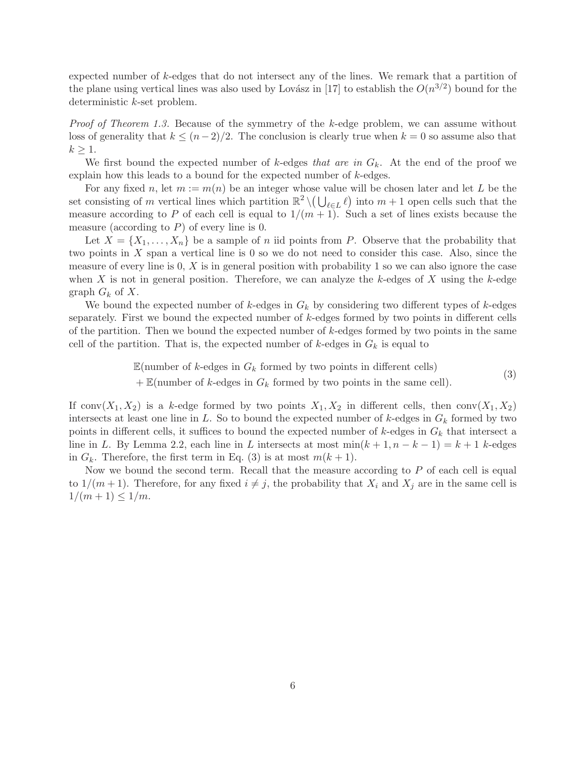expected number of k-edges that do not intersect any of the lines. We remark that a partition of the plane using vertical lines was also used by Lovász in [\[17\]](#page-22-0) to establish the  $O(n^{3/2})$  bound for the deterministic k-set problem.

Proof of Theorem [1.3.](#page-3-0) Because of the symmetry of the k-edge problem, we can assume without loss of generality that  $k \leq (n-2)/2$ . The conclusion is clearly true when  $k = 0$  so assume also that  $k \geq 1$ .

We first bound the expected number of k-edges that are in  $G_k$ . At the end of the proof we explain how this leads to a bound for the expected number of k-edges.

For any fixed n, let  $m := m(n)$  be an integer whose value will be chosen later and let L be the set consisting of m vertical lines which partition  $\mathbb{R}^2 \setminus (\bigcup_{\ell \in L} \ell)$  into  $m + 1$  open cells such that the  $\ell \in L$ measure according to P of each cell is equal to  $1/(m+1)$ . Such a set of lines exists because the measure (according to  $P$ ) of every line is 0.

Let  $X = \{X_1, \ldots, X_n\}$  be a sample of n iid points from P. Observe that the probability that two points in X span a vertical line is 0 so we do not need to consider this case. Also, since the measure of every line is  $0, X$  is in general position with probability 1 so we can also ignore the case when X is not in general position. Therefore, we can analyze the k-edges of X using the k-edge graph  $G_k$  of X.

We bound the expected number of  $k$ -edges in  $G_k$  by considering two different types of  $k$ -edges separately. First we bound the expected number of k-edges formed by two points in different cells of the partition. Then we bound the expected number of  $k$ -edges formed by two points in the same cell of the partition. That is, the expected number of  $k$ -edges in  $G_k$  is equal to

$$
\mathbb{E}(\text{number of }k\text{-edges in }G_k \text{ formed by two points in different cells})
$$
  
+
$$
\mathbb{E}(\text{number of }k\text{-edges in }G_k \text{ formed by two points in the same cell}).
$$
 (3)

<span id="page-5-0"></span>If conv $(X_1, X_2)$  is a k-edge formed by two points  $X_1, X_2$  in different cells, then conv $(X_1, X_2)$ intersects at least one line in L. So to bound the expected number of k-edges in  $G_k$  formed by two points in different cells, it suffices to bound the expected number of  $k$ -edges in  $G_k$  that intersect a line in L. By Lemma [2.2,](#page-4-5) each line in L intersects at most  $\min(k+1, n-k-1) = k+1$  k-edges in  $G_k$ . Therefore, the first term in Eq. [\(3\)](#page-5-0) is at most  $m(k+1)$ .

Now we bound the second term. Recall that the measure according to P of each cell is equal to  $1/(m+1)$ . Therefore, for any fixed  $i \neq j$ , the probability that  $X_i$  and  $X_j$  are in the same cell is  $1/(m+1) \leq 1/m$ .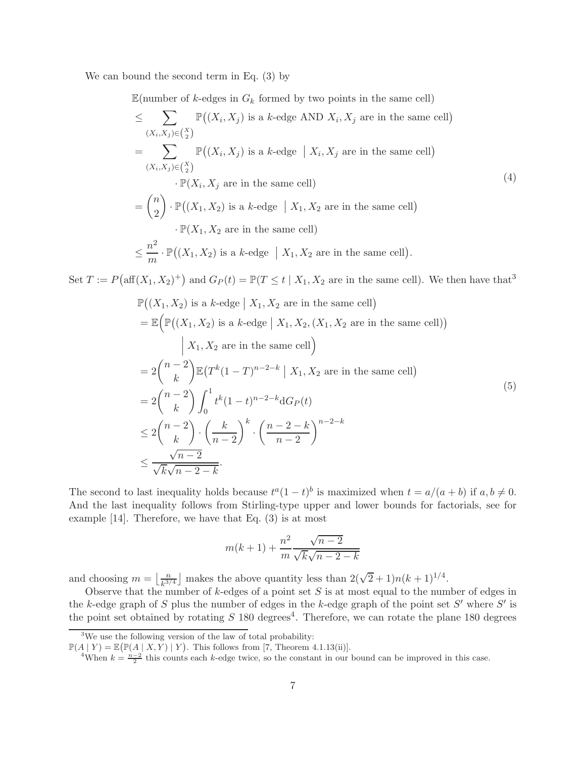We can bound the second term in Eq. [\(3\)](#page-5-0) by

Set  $T := P$ (

 $\mathbb{E}$ (number of k-edges in  $G_k$  formed by two points in the same cell)

<span id="page-6-2"></span>
$$
\leq \sum_{(X_i, X_j) \in {X \choose 2}} \mathbb{P}((X_i, X_j) \text{ is a } k\text{-edge AND } X_i, X_j \text{ are in the same cell})
$$
\n
$$
= \sum_{(X_i, X_j) \in {X \choose 2}} \mathbb{P}((X_i, X_j) \text{ is a } k\text{-edge } | X_i, X_j \text{ are in the same cell})
$$
\n
$$
\cdot \mathbb{P}(X_i, X_j \text{ are in the same cell})
$$
\n
$$
= {n \choose 2} \cdot \mathbb{P}((X_1, X_2) \text{ is a } k\text{-edge } | X_1, X_2 \text{ are in the same cell})
$$
\n
$$
\cdot \mathbb{P}(X_1, X_2 \text{ are in the same cell})
$$
\n
$$
\leq \frac{n^2}{m} \cdot \mathbb{P}((X_1, X_2) \text{ is a } k\text{-edge } | X_1, X_2 \text{ are in the same cell}).
$$
\n
$$
\text{aff}(X_1, X_2)^+ \text{ and } G_P(t) = \mathbb{P}(T \leq t | X_1, X_2 \text{ are in the same cell}). \text{ We then have that}^3
$$
\n
$$
\mathbb{P}((X_1, X_2) \text{ is a } k\text{-edge } | X_1, X_2 \text{ are in the same cell})
$$

<span id="page-6-3"></span>
$$
= \mathbb{E}\Big(\mathbb{P}\big((X_1, X_2) \text{ is a } k\text{-edge} \mid X_1, X_2, (X_1, X_2 \text{ are in the same cell})\Big)
$$
  
\n
$$
\begin{aligned}\n&| X_1, X_2 \text{ are in the same cell}\big) \\
&= 2\binom{n-2}{k} \mathbb{E}\big(T^k(1-T)^{n-2-k} \mid X_1, X_2 \text{ are in the same cell}\big) \\
&= 2\binom{n-2}{k} \int_0^1 t^k (1-t)^{n-2-k} dG_P(t) \\
&\le 2\binom{n-2}{k} \cdot \left(\frac{k}{n-2}\right)^k \cdot \left(\frac{n-2-k}{n-2}\right)^{n-2-k} \\
&\le \frac{\sqrt{n-2}}{\sqrt{k}\sqrt{n-2-k}}.\n\end{aligned} \tag{5}
$$

The second to last inequality holds because  $t^a(1-t)^b$  is maximized when  $t = a/(a + b)$  if  $a, b \neq 0$ . And the last inequality follows from Stirling-type upper and lower bounds for factorials, see for example [\[14\]](#page-22-8). Therefore, we have that Eq. [\(3\)](#page-5-0) is at most

$$
m(k+1) + \frac{n^2}{m} \frac{\sqrt{n-2}}{\sqrt{k}\sqrt{n-2-k}}
$$

and choosing  $m = \frac{n}{\lfloor \frac{n}{\sqrt{3}} \rfloor}$  $\frac{n}{k^{3/4}}$  makes the above quantity less than  $2(\sqrt{2}+1)n(k+1)^{1/4}$ .

Observe that the number of  $k$ -edges of a point set S is at most equal to the number of edges in the k-edge graph of S plus the number of edges in the k-edge graph of the point set S' where S' is the point set obtained by rotating  $S$  180 degrees<sup>[4](#page-6-1)</sup>. Therefore, we can rotate the plane 180 degrees

<sup>&</sup>lt;sup>3</sup>We use the following version of the law of total probability:

<span id="page-6-0"></span> $\mathbb{P}(A | Y) = \mathbb{E}(\mathbb{P}(A | X, Y) | Y)$ . This follows from [\[7,](#page-22-9) Theorem 4.1.13(ii)].

<span id="page-6-1"></span><sup>&</sup>lt;sup>4</sup>When  $k = \frac{n-2}{2}$  this counts each k-edge twice, so the constant in our bound can be improved in this case.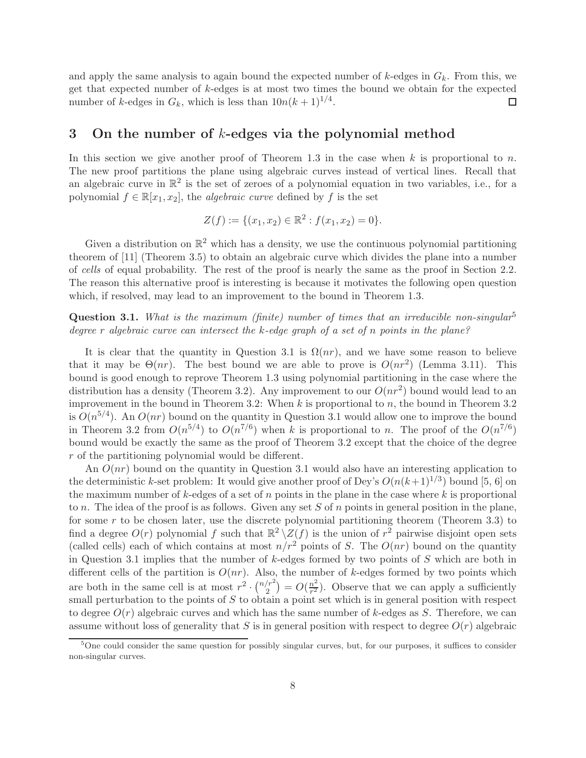and apply the same analysis to again bound the expected number of  $k$ -edges in  $G_k$ . From this, we get that expected number of k-edges is at most two times the bound we obtain for the expected number of k-edges in  $G_k$ , which is less than  $10n(k+1)^{1/4}$ .  $\Box$ 

## <span id="page-7-0"></span>3 On the number of k-edges via the polynomial method

In this section we give another proof of Theorem [1.3](#page-3-0) in the case when  $k$  is proportional to n. The new proof partitions the plane using algebraic curves instead of vertical lines. Recall that an algebraic curve in  $\mathbb{R}^2$  is the set of zeroes of a polynomial equation in two variables, i.e., for a polynomial  $f \in \mathbb{R}[x_1, x_2]$ , the *algebraic curve* defined by f is the set

$$
Z(f) := \{ (x_1, x_2) \in \mathbb{R}^2 : f(x_1, x_2) = 0 \}.
$$

Given a distribution on  $\mathbb{R}^2$  which has a density, we use the continuous polynomial partitioning theorem of [\[11\]](#page-22-6) (Theorem [3.5\)](#page-9-0) to obtain an algebraic curve which divides the plane into a number of cells of equal probability. The rest of the proof is nearly the same as the proof in Section [2.2.](#page-4-1) The reason this alternative proof is interesting is because it motivates the following open question which, if resolved, may lead to an improvement to the bound in Theorem [1.3.](#page-3-0)

<span id="page-7-1"></span>**Question 3.1.** What is the maximum (finite) number of times that an irreducible non-singular<sup>[5](#page-7-2)</sup> degree r algebraic curve can intersect the k-edge graph of a set of n points in the plane?

It is clear that the quantity in Question [3.1](#page-7-1) is  $\Omega(nr)$ , and we have some reason to believe that it may be  $\Theta(nr)$ . The best bound we are able to prove is  $O(nr^2)$  (Lemma [3.11\)](#page-11-0). This bound is good enough to reprove Theorem [1.3](#page-3-0) using polynomial partitioning in the case where the distribution has a density (Theorem [3.2\)](#page-8-0). Any improvement to our  $O(nr^2)$  bound would lead to an improvement in the bound in Theorem [3.2:](#page-8-0) When  $k$  is proportional to  $n$ , the bound in Theorem [3.2](#page-8-0) is  $O(n^{5/4})$ . An  $O(nr)$  bound on the quantity in Question [3.1](#page-7-1) would allow one to improve the bound in Theorem [3.2](#page-8-0) from  $O(n^{5/4})$  to  $O(n^{7/6})$  when k is proportional to n. The proof of the  $O(n^{7/6})$ bound would be exactly the same as the proof of Theorem [3.2](#page-8-0) except that the choice of the degree r of the partitioning polynomial would be different.

An  $O(nr)$  bound on the quantity in Question [3.1](#page-7-1) would also have an interesting application to the deterministic k-set problem: It would give another proof of Dey's  $O(n(k+1)^{1/3})$  bound [\[5,](#page-22-2) 6] on the maximum number of  $k$ -edges of a set of  $n$  points in the plane in the case where  $k$  is proportional to n. The idea of the proof is as follows. Given any set S of n points in general position in the plane, for some  $r$  to be chosen later, use the discrete polynomial partitioning theorem (Theorem [3.3\)](#page-8-1) to find a degree  $O(r)$  polynomial f such that  $\mathbb{R}^2 \setminus \mathbb{Z}(f)$  is the union of  $r^2$  pairwise disjoint open sets (called cells) each of which contains at most  $n/r^2$  points of S. The  $O(nr)$  bound on the quantity in Question [3.1](#page-7-1) implies that the number of  $k$ -edges formed by two points of  $S$  which are both in different cells of the partition is  $O(nr)$ . Also, the number of k-edges formed by two points which are both in the same cell is at most  $r^2 \cdot \binom{n/r^2}{2}$  $\binom{r^2}{2} = O(\frac{n^2}{r^2})$  $\frac{n^2}{r^2}$ ). Observe that we can apply a sufficiently small perturbation to the points of  $S$  to obtain a point set which is in general position with respect to degree  $O(r)$  algebraic curves and which has the same number of k-edges as S. Therefore, we can assume without loss of generality that S is in general position with respect to degree  $O(r)$  algebraic

<span id="page-7-2"></span><sup>&</sup>lt;sup>5</sup>One could consider the same question for possibly singular curves, but, for our purposes, it suffices to consider non-singular curves.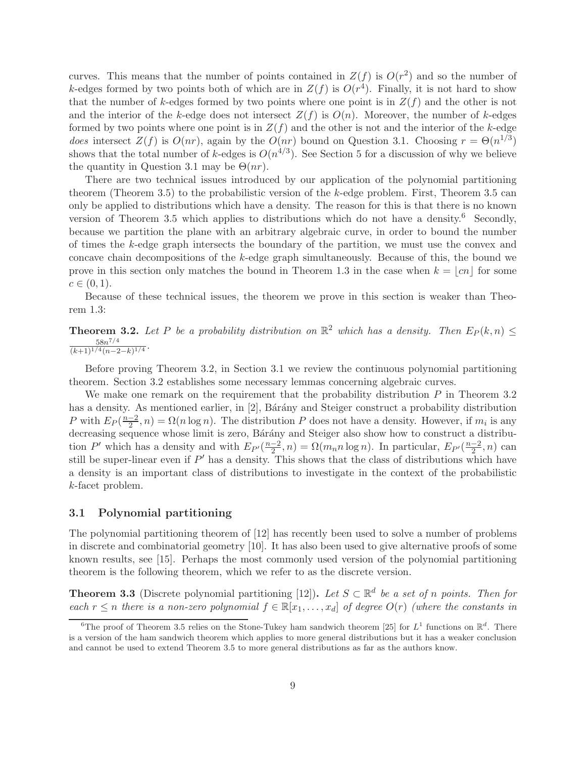curves. This means that the number of points contained in  $Z(f)$  is  $O(r^2)$  and so the number of k-edges formed by two points both of which are in  $Z(f)$  is  $O(r^4)$ . Finally, it is not hard to show that the number of k-edges formed by two points where one point is in  $Z(f)$  and the other is not and the interior of the k-edge does not intersect  $Z(f)$  is  $O(n)$ . Moreover, the number of k-edges formed by two points where one point is in  $Z(f)$  and the other is not and the interior of the k-edge does intersect  $Z(f)$  is  $O(nr)$ , again by the  $O(nr)$  bound on Question [3.1.](#page-7-1) Choosing  $r = \Theta(n^{1/3})$ shows that the total number of k-edges is  $O(n^{4/3})$ . See Section [5](#page-21-0) for a discussion of why we believe the quantity in Question [3.1](#page-7-1) may be  $\Theta(nr)$ .

There are two technical issues introduced by our application of the polynomial partitioning theorem (Theorem [3.5\)](#page-9-0) to the probabilistic version of the k-edge problem. First, Theorem [3.5](#page-9-0) can only be applied to distributions which have a density. The reason for this is that there is no known version of Theorem [3.5](#page-9-0) which applies to distributions which do not have a density.[6](#page-8-2) Secondly, because we partition the plane with an arbitrary algebraic curve, in order to bound the number of times the k-edge graph intersects the boundary of the partition, we must use the convex and concave chain decompositions of the k-edge graph simultaneously. Because of this, the bound we prove in this section only matches the bound in Theorem [1.3](#page-3-0) in the case when  $k = \lfloor cn \rfloor$  for some  $c \in (0, 1).$ 

<span id="page-8-0"></span>Because of these technical issues, the theorem we prove in this section is weaker than Theorem [1.3:](#page-3-0)

**Theorem 3.2.** Let P be a probability distribution on  $\mathbb{R}^2$  which has a density. Then  $E_P(k,n) \leq$ 58n 7/4  $\frac{58n^{1/4}}{(k+1)^{1/4}(n-2-k)^{1/4}}$ 

Before proving Theorem [3.2,](#page-8-0) in Section [3.1](#page-8-3) we review the continuous polynomial partitioning theorem. Section [3.2](#page-9-1) establishes some necessary lemmas concerning algebraic curves.

We make one remark on the requirement that the probability distribution  $P$  in Theorem [3.2](#page-8-0) has a density. As mentioned earlier, in [\[2\]](#page-22-3), Bárány and Steiger construct a probability distribution P with  $E_P(\frac{n-2}{2}, n) = \Omega(n \log n)$ . The distribution P does not have a density. However, if  $m_i$  is any decreasing sequence whose limit is zero, Bárány and Steiger also show how to construct a distribution P' which has a density and with  $E_{P'}(\frac{n-2}{2}, n) = \Omega(m_n n \log n)$ . In particular,  $E_{P'}(\frac{n-2}{2}, n)$  can still be super-linear even if  $P'$  has a density. This shows that the class of distributions which have a density is an important class of distributions to investigate in the context of the probabilistic k-facet problem.

#### <span id="page-8-3"></span>3.1 Polynomial partitioning

The polynomial partitioning theorem of [\[12\]](#page-22-10) has recently been used to solve a number of problems in discrete and combinatorial geometry [\[10\]](#page-22-11). It has also been used to give alternative proofs of some known results, see [\[15\]](#page-22-12). Perhaps the most commonly used version of the polynomial partitioning theorem is the following theorem, which we refer to as the discrete version.

<span id="page-8-1"></span>**Theorem 3.3** (Discrete polynomial partitioning [\[12\]](#page-22-10)). Let  $S \subset \mathbb{R}^d$  be a set of n points. Then for each  $r \leq n$  there is a non-zero polynomial  $f \in \mathbb{R}[x_1,\ldots,x_d]$  of degree  $O(r)$  (where the constants in

<span id="page-8-2"></span><sup>&</sup>lt;sup>6</sup>The proof of Theorem [3.5](#page-9-0) relies on the Stone-Tukey ham sandwich theorem [\[25\]](#page-23-4) for  $L^1$  functions on  $\mathbb{R}^d$ . There is a version of the ham sandwich theorem which applies to more general distributions but it has a weaker conclusion and cannot be used to extend Theorem [3.5](#page-9-0) to more general distributions as far as the authors know.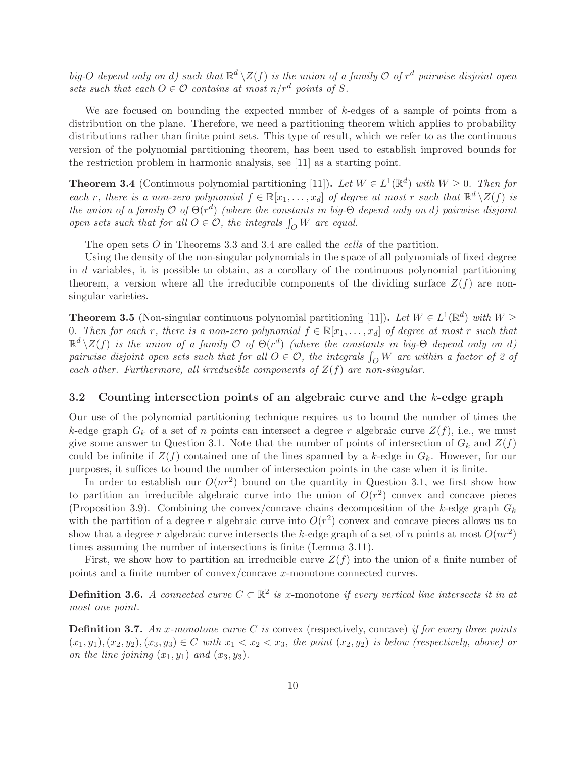big-O depend only on d) such that  $\mathbb{R}^d \setminus Z(f)$  is the union of a family  $\mathcal O$  of  $r^d$  pairwise disjoint open sets such that each  $O \in \mathcal{O}$  contains at most  $n/r^d$  points of S.

We are focused on bounding the expected number of  $k$ -edges of a sample of points from a distribution on the plane. Therefore, we need a partitioning theorem which applies to probability distributions rather than finite point sets. This type of result, which we refer to as the continuous version of the polynomial partitioning theorem, has been used to establish improved bounds for the restriction problem in harmonic analysis, see [\[11\]](#page-22-6) as a starting point.

<span id="page-9-2"></span>**Theorem 3.4** (Continuous polynomial partitioning [\[11\]](#page-22-6)). Let  $W \in L^1(\mathbb{R}^d)$  with  $W \geq 0$ . Then for each r, there is a non-zero polynomial  $f \in \mathbb{R}[x_1,\ldots,x_d]$  of degree at most r such that  $\mathbb{R}^d \setminus Z(f)$  is the union of a family  $\mathcal{O}$  of  $\Theta(r^d)$  (where the constants in big- $\Theta$  depend only on d) pairwise disjoint open sets such that for all  $O \in \mathcal{O}$ , the integrals  $\int_O W$  are equal.

The open sets O in Theorems [3.3](#page-8-1) and [3.4](#page-9-2) are called the cells of the partition.

Using the density of the non-singular polynomials in the space of all polynomials of fixed degree in d variables, it is possible to obtain, as a corollary of the continuous polynomial partitioning theorem, a version where all the irreducible components of the dividing surface  $Z(f)$  are nonsingular varieties.

<span id="page-9-0"></span>**Theorem 3.5** (Non-singular continuous polynomial partitioning [\[11\]](#page-22-6)). Let  $W \in L^1(\mathbb{R}^d)$  with  $W \geq$ 0. Then for each r, there is a non-zero polynomial  $f \in \mathbb{R}[x_1, \ldots, x_d]$  of degree at most r such that  $\mathbb{R}^d\setminus Z(f)$  is the union of a family  $\mathcal O$  of  $\Theta(r^d)$  (where the constants in big- $\Theta$  depend only on d) pairwise disjoint open sets such that for all  $O \in \mathcal{O}$ , the integrals  $\int_O W$  are within a factor of 2 of each other. Furthermore, all irreducible components of  $Z(f)$  are non-singular.

#### <span id="page-9-1"></span>3.2 Counting intersection points of an algebraic curve and the k-edge graph

Our use of the polynomial partitioning technique requires us to bound the number of times the k-edge graph  $G_k$  of a set of n points can intersect a degree r algebraic curve  $Z(f)$ , i.e., we must give some answer to Question [3.1.](#page-7-1) Note that the number of points of intersection of  $G_k$  and  $Z(f)$ could be infinite if  $Z(f)$  contained one of the lines spanned by a k-edge in  $G_k$ . However, for our purposes, it suffices to bound the number of intersection points in the case when it is finite.

In order to establish our  $O(nr^2)$  bound on the quantity in Question [3.1,](#page-7-1) we first show how to partition an irreducible algebraic curve into the union of  $O(r^2)$  convex and concave pieces (Proposition [3.9\)](#page-10-0). Combining the convex/concave chains decomposition of the k-edge graph  $G_k$ with the partition of a degree r algebraic curve into  $O(r^2)$  convex and concave pieces allows us to show that a degree r algebraic curve intersects the k-edge graph of a set of n points at most  $O(nr^2)$ times assuming the number of intersections is finite (Lemma [3.11\)](#page-11-0).

First, we show how to partition an irreducible curve  $Z(f)$  into the union of a finite number of points and a finite number of convex/concave x-monotone connected curves.

**Definition 3.6.** A connected curve  $C \subset \mathbb{R}^2$  is x-monotone if every vertical line intersects it in at most one point.

**Definition 3.7.** An x-monotone curve C is convex (respectively, concave) if for every three points  $(x_1, y_1), (x_2, y_2), (x_3, y_3) \in C$  with  $x_1 < x_2 < x_3$ , the point  $(x_2, y_2)$  is below (respectively, above) or on the line joining  $(x_1, y_1)$  and  $(x_3, y_3)$ .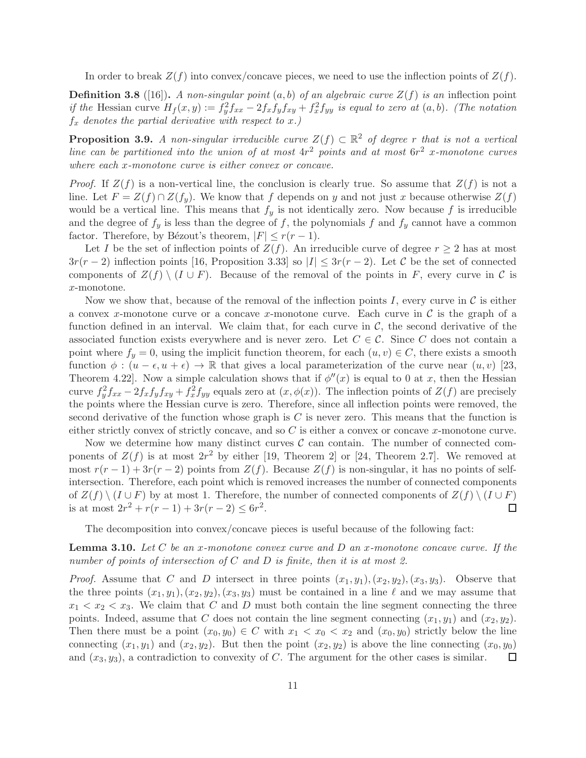In order to break  $Z(f)$  into convex/concave pieces, we need to use the inflection points of  $Z(f)$ .

**Definition 3.8** ([\[16\]](#page-22-13)). A non-singular point  $(a, b)$  of an algebraic curve  $Z(f)$  is an inflection point if the Hessian curve  $H_f(x,y) := f_y^2 f_{xx} - 2f_x f_y f_{xy} + f_x^2 f_{yy}$  is equal to zero at  $(a,b)$ . (The notation  $f_x$  denotes the partial derivative with respect to x.)

<span id="page-10-0"></span>**Proposition 3.9.** A non-singular irreducible curve  $Z(f) \subset \mathbb{R}^2$  of degree r that is not a vertical line can be partitioned into the union of at most  $4r^2$  points and at most  $6r^2$  x-monotone curves where each x-monotone curve is either convex or concave.

*Proof.* If  $Z(f)$  is a non-vertical line, the conclusion is clearly true. So assume that  $Z(f)$  is not a line. Let  $F = Z(f) \cap Z(f_y)$ . We know that f depends on y and not just x because otherwise  $Z(f)$ would be a vertical line. This means that  $f_y$  is not identically zero. Now because f is irreducible and the degree of  $f_y$  is less than the degree of f, the polynomials f and  $f_y$  cannot have a common factor. Therefore, by Bézout's theorem,  $|F| \le r(r-1)$ .

Let I be the set of inflection points of  $Z(f)$ . An irreducible curve of degree  $r \geq 2$  has at most  $3r(r-2)$  inflection points [\[16,](#page-22-13) Proposition 3.33] so  $|I| \leq 3r(r-2)$ . Let C be the set of connected components of  $Z(f) \setminus (I \cup F)$ . Because of the removal of the points in F, every curve in C is x-monotone.

Now we show that, because of the removal of the inflection points I, every curve in  $\mathcal C$  is either a convex x-monotone curve or a concave x-monotone curve. Each curve in  $\mathcal C$  is the graph of a function defined in an interval. We claim that, for each curve in  $\mathcal{C}$ , the second derivative of the associated function exists everywhere and is never zero. Let  $C \in \mathcal{C}$ . Since C does not contain a point where  $f_y = 0$ , using the implicit function theorem, for each  $(u, v) \in C$ , there exists a smooth function  $\phi : (u - \epsilon, u + \epsilon) \to \mathbb{R}$  that gives a local parameterization of the curve near  $(u, v)$  [\[23,](#page-23-5) Theorem 4.22. Now a simple calculation shows that if  $\phi''(x)$  is equal to 0 at x, then the Hessian curve  $f_y^2 f_{xx} - 2f_x f_y f_{xy} + f_x^2 f_{yy}$  equals zero at  $(x, \phi(x))$ . The inflection points of  $Z(f)$  are precisely the points where the Hessian curve is zero. Therefore, since all inflection points were removed, the second derivative of the function whose graph is  $C$  is never zero. This means that the function is either strictly convex of strictly concave, and so  $C$  is either a convex or concave  $x$ -monotone curve.

Now we determine how many distinct curves  $\mathcal C$  can contain. The number of connected components of  $Z(f)$  is at most  $2r^2$  by either [\[19,](#page-22-14) Theorem 2] or [\[24,](#page-23-6) Theorem 2.7]. We removed at most  $r(r-1) + 3r(r-2)$  points from  $Z(f)$ . Because  $Z(f)$  is non-singular, it has no points of selfintersection. Therefore, each point which is removed increases the number of connected components of  $Z(f) \setminus (I \cup F)$  by at most 1. Therefore, the number of connected components of  $Z(f) \setminus (I \cup F)$  is at most  $2r^2 + r(r-1) + 3r(r-2) \leq 6r^2$ . is at most  $2r^2 + r(r-1) + 3r(r-2) \leq 6r^2$ .

<span id="page-10-1"></span>The decomposition into convex/concave pieces is useful because of the following fact:

**Lemma 3.10.** Let C be an x-monotone convex curve and D an x-monotone concave curve. If the number of points of intersection of C and D is finite, then it is at most 2.

*Proof.* Assume that C and D intersect in three points  $(x_1, y_1), (x_2, y_2), (x_3, y_3)$ . Observe that the three points  $(x_1, y_1), (x_2, y_2), (x_3, y_3)$  must be contained in a line  $\ell$  and we may assume that  $x_1 < x_2 < x_3$ . We claim that C and D must both contain the line segment connecting the three points. Indeed, assume that C does not contain the line segment connecting  $(x_1, y_1)$  and  $(x_2, y_2)$ . Then there must be a point  $(x_0, y_0) \in C$  with  $x_1 < x_0 < x_2$  and  $(x_0, y_0)$  strictly below the line connecting  $(x_1, y_1)$  and  $(x_2, y_2)$ . But then the point  $(x_2, y_2)$  is above the line connecting  $(x_0, y_0)$ and  $(x_3, y_3)$ , a contradiction to convexity of C. The argument for the other cases is similar.  $\Box$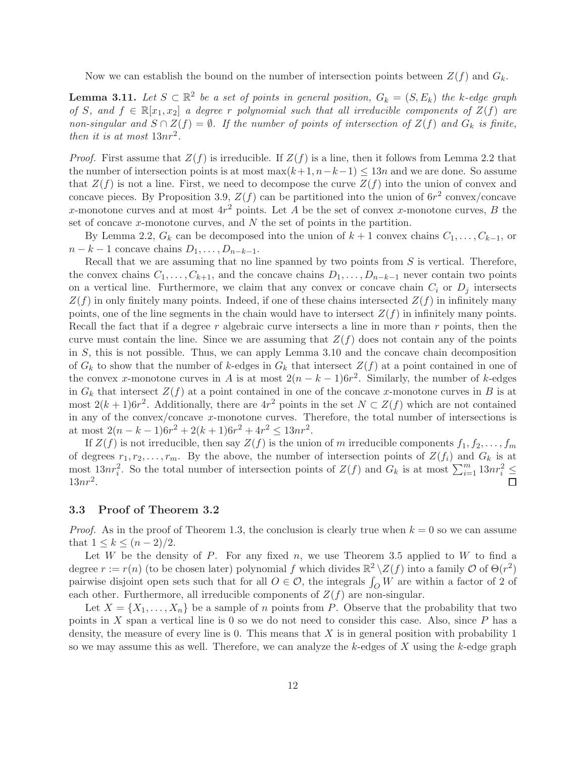<span id="page-11-0"></span>Now we can establish the bound on the number of intersection points between  $Z(f)$  and  $G_k$ .

**Lemma 3.11.** Let  $S \subset \mathbb{R}^2$  be a set of points in general position,  $G_k = (S, E_k)$  the k-edge graph of S, and  $f \in \mathbb{R}[x_1, x_2]$  a degree r polynomial such that all irreducible components of  $Z(f)$  are non-singular and  $S \cap Z(f) = \emptyset$ . If the number of points of intersection of  $Z(f)$  and  $G_k$  is finite, then it is at most  $13nr^2$ .

*Proof.* First assume that  $Z(f)$  is irreducible. If  $Z(f)$  is a line, then it follows from Lemma [2.2](#page-4-5) that the number of intersection points is at most max $(k+1, n-k-1) \leq 13n$  and we are done. So assume that  $Z(f)$  is not a line. First, we need to decompose the curve  $Z(f)$  into the union of convex and concave pieces. By Proposition [3.9,](#page-10-0)  $Z(f)$  can be partitioned into the union of  $6r^2$  convex/concave x-monotone curves and at most  $4r^2$  points. Let A be the set of convex x-monotone curves, B the set of concave x-monotone curves, and N the set of points in the partition.

By Lemma [2.2,](#page-4-5)  $G_k$  can be decomposed into the union of  $k + 1$  convex chains  $C_1, \ldots, C_{k-1}$ , or  $n - k - 1$  concave chains  $D_1, \ldots, D_{n-k-1}$ .

Recall that we are assuming that no line spanned by two points from  $S$  is vertical. Therefore, the convex chains  $C_1, \ldots, C_{k+1}$ , and the concave chains  $D_1, \ldots, D_{n-k-1}$  never contain two points on a vertical line. Furthermore, we claim that any convex or concave chain  $C_i$  or  $D_j$  intersects  $Z(f)$  in only finitely many points. Indeed, if one of these chains intersected  $Z(f)$  in infinitely many points, one of the line segments in the chain would have to intersect  $Z(f)$  in infinitely many points. Recall the fact that if a degree r algebraic curve intersects a line in more than r points, then the curve must contain the line. Since we are assuming that  $Z(f)$  does not contain any of the points in  $S$ , this is not possible. Thus, we can apply Lemma [3.10](#page-10-1) and the concave chain decomposition of  $G_k$  to show that the number of k-edges in  $G_k$  that intersect  $Z(f)$  at a point contained in one of the convex x-monotone curves in A is at most  $2(n - k - 1)6r^2$ . Similarly, the number of k-edges in  $G_k$  that intersect  $Z(f)$  at a point contained in one of the concave x-monotone curves in B is at most  $2(k+1)6r^2$ . Additionally, there are  $4r^2$  points in the set  $N \subset Z(f)$  which are not contained in any of the convex/concave x-monotone curves. Therefore, the total number of intersections is at most  $2(n-k-1)6r^2 + 2(k+1)6r^2 + 4r^2 \le 13nr^2$ .

If  $Z(f)$  is not irreducible, then say  $Z(f)$  is the union of m irreducible components  $f_1, f_2, \ldots, f_m$ of degrees  $r_1, r_2, \ldots, r_m$ . By the above, the number of intersection points of  $Z(f_i)$  and  $G_k$  is at most  $13nr_i^2$ . So the total number of intersection points of  $Z(f)$  and  $G_k$  is at most  $\sum_{i=1}^m 13nr_i^2 \leq$  $13nr^2$ .

### 3.3 Proof of Theorem [3.2](#page-8-0)

*Proof.* As in the proof of Theorem [1.3,](#page-3-0) the conclusion is clearly true when  $k = 0$  so we can assume that  $1 \leq k \leq (n-2)/2$ .

Let W be the density of P. For any fixed n, we use Theorem [3.5](#page-9-0) applied to W to find a degree  $r := r(n)$  (to be chosen later) polynomial f which divides  $\mathbb{R}^2 \setminus Z(f)$  into a family  $\mathcal{O}$  of  $\Theta(r^2)$ pairwise disjoint open sets such that for all  $O \in \mathcal{O}$ , the integrals  $\int_O W$  are within a factor of 2 of each other. Furthermore, all irreducible components of  $Z(f)$  are non-singular.

Let  $X = \{X_1, \ldots, X_n\}$  be a sample of n points from P. Observe that the probability that two points in  $X$  span a vertical line is 0 so we do not need to consider this case. Also, since  $P$  has a density, the measure of every line is 0. This means that X is in general position with probability 1 so we may assume this as well. Therefore, we can analyze the  $k$ -edges of X using the  $k$ -edge graph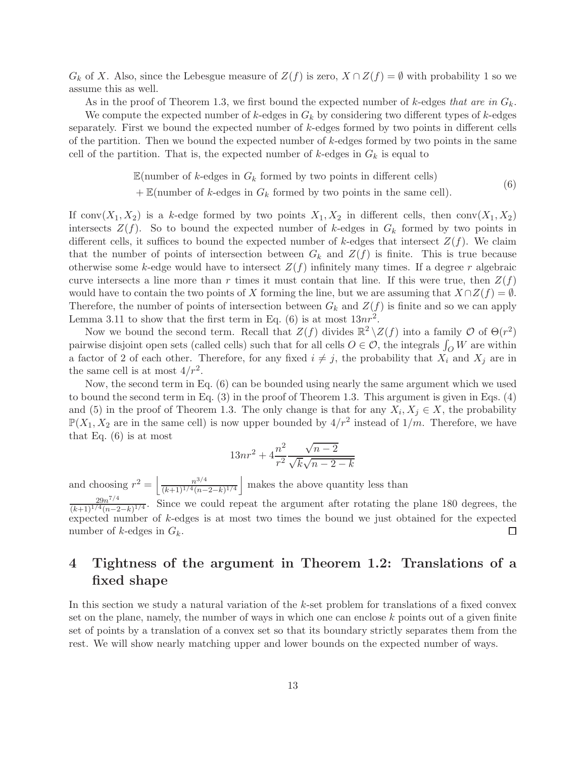$G_k$  of X. Also, since the Lebesgue measure of  $Z(f)$  is zero,  $X \cap Z(f) = \emptyset$  with probability 1 so we assume this as well.

As in the proof of Theorem [1.3,](#page-3-0) we first bound the expected number of k-edges that are in  $G_k$ .

We compute the expected number of  $k$ -edges in  $G_k$  by considering two different types of  $k$ -edges separately. First we bound the expected number of k-edges formed by two points in different cells of the partition. Then we bound the expected number of  $k$ -edges formed by two points in the same cell of the partition. That is, the expected number of  $k$ -edges in  $G_k$  is equal to

> $\mathbb{E}$ (number of k-edges in  $G_k$  formed by two points in different cells) (6)

 $+ \mathbb{E}$ (number of k-edges in  $G_k$  formed by two points in the same cell).

<span id="page-12-1"></span>If conv $(X_1, X_2)$  is a k-edge formed by two points  $X_1, X_2$  in different cells, then conv $(X_1, X_2)$ intersects  $Z(f)$ . So to bound the expected number of k-edges in  $G_k$  formed by two points in different cells, it suffices to bound the expected number of k-edges that intersect  $Z(f)$ . We claim that the number of points of intersection between  $G_k$  and  $Z(f)$  is finite. This is true because otherwise some k-edge would have to intersect  $Z(f)$  infinitely many times. If a degree r algebraic curve intersects a line more than r times it must contain that line. If this were true, then  $Z(f)$ would have to contain the two points of X forming the line, but we are assuming that  $X \cap Z(f) = \emptyset$ . Therefore, the number of points of intersection between  $G_k$  and  $Z(f)$  is finite and so we can apply Lemma [3.11](#page-11-0) to show that the first term in Eq. [\(6\)](#page-12-1) is at most  $13nr^2$ .

Now we bound the second term. Recall that  $Z(f)$  divides  $\mathbb{R}^2 \setminus Z(f)$  into a family  $\mathcal{O}$  of  $\Theta(r^2)$ pairwise disjoint open sets (called cells) such that for all cells  $O \in \mathcal{O}$ , the integrals  $\int_O W$  are within a factor of 2 of each other. Therefore, for any fixed  $i \neq j$ , the probability that  $X_i$  and  $X_j$  are in the same cell is at most  $4/r^2$ .

Now, the second term in Eq. [\(6\)](#page-12-1) can be bounded using nearly the same argument which we used to bound the second term in Eq. [\(3\)](#page-5-0) in the proof of Theorem [1.3.](#page-3-0) This argument is given in Eqs. [\(4\)](#page-6-2) and [\(5\)](#page-6-3) in the proof of Theorem [1.3.](#page-3-0) The only change is that for any  $X_i, X_j \in X$ , the probability  $\mathbb{P}(X_1, X_2)$  are in the same cell) is now upper bounded by  $4/r^2$  instead of  $1/m$ . Therefore, we have that Eq.  $(6)$  is at most

$$
13nr^{2} + 4\frac{n^{2}}{r^{2}}\frac{\sqrt{n-2}}{\sqrt{k}\sqrt{n-2-k}}
$$

and choosing  $r^2 = \left(\frac{n^{3/4}}{(k+1)!\sqrt{4/n}}\right)$  $\frac{n^{3/4}}{(k+1)^{1/4}(n-2-k)^{1/4}}$  makes the above quantity less than  $29n^{7/4}$  $\frac{29n^{1/4}}{(k+1)^{1/4}(n-2-k)^{1/4}}$ . Since we could repeat the argument after rotating the plane 180 degrees, the expected number of k-edges is at most two times the bound we just obtained for the expected number of k-edges in  $G_k$ .

# <span id="page-12-0"></span>4 Tightness of the argument in Theorem [1.2:](#page-2-2) Translations of a fixed shape

 $\Box$ 

In this section we study a natural variation of the k-set problem for translations of a fixed convex set on the plane, namely, the number of ways in which one can enclose  $k$  points out of a given finite set of points by a translation of a convex set so that its boundary strictly separates them from the rest. We will show nearly matching upper and lower bounds on the expected number of ways.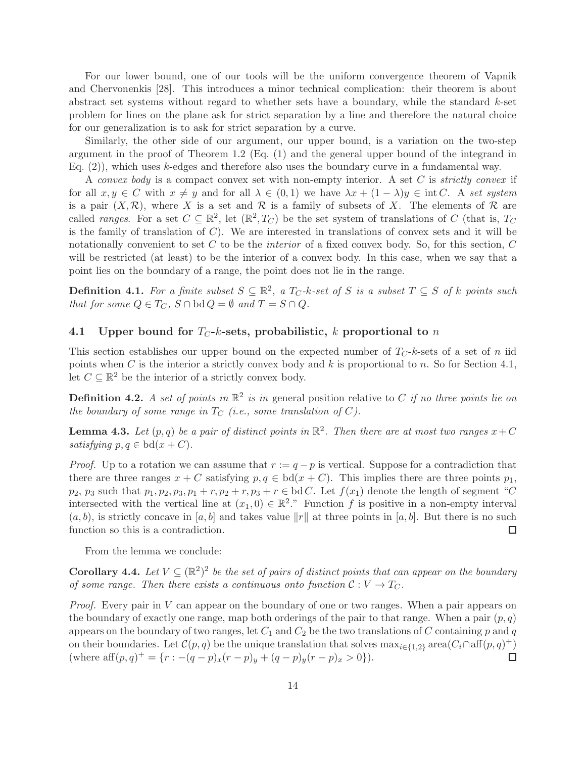For our lower bound, one of our tools will be the uniform convergence theorem of Vapnik and Chervonenkis [\[28\]](#page-23-3). This introduces a minor technical complication: their theorem is about abstract set systems without regard to whether sets have a boundary, while the standard k-set problem for lines on the plane ask for strict separation by a line and therefore the natural choice for our generalization is to ask for strict separation by a curve.

Similarly, the other side of our argument, our upper bound, is a variation on the two-step argument in the proof of Theorem [1.2](#page-2-2) (Eq. [\(1\)](#page-2-0) and the general upper bound of the integrand in Eq. [\(2\)](#page-3-1)), which uses k-edges and therefore also uses the boundary curve in a fundamental way.

A convex body is a compact convex set with non-empty interior. A set  $C$  is strictly convex if for all  $x, y \in C$  with  $x \neq y$  and for all  $\lambda \in (0, 1)$  we have  $\lambda x + (1 - \lambda)y \in \text{int } C$ . A set system is a pair  $(X,\mathcal{R})$ , where X is a set and  $\mathcal R$  is a family of subsets of X. The elements of  $\mathcal R$  are called *ranges*. For a set  $C \subseteq \mathbb{R}^2$ , let  $(\mathbb{R}^2, T_C)$  be the set system of translations of C (that is,  $T_C$ is the family of translation of  $C$ ). We are interested in translations of convex sets and it will be notationally convenient to set  $C$  to be the *interior* of a fixed convex body. So, for this section,  $C$ will be restricted (at least) to be the interior of a convex body. In this case, when we say that a point lies on the boundary of a range, the point does not lie in the range.

<span id="page-13-0"></span>**Definition 4.1.** For a finite subset  $S \subseteq \mathbb{R}^2$ , a  $T_C$ -k-set of S is a subset  $T \subseteq S$  of k points such that for some  $Q \in T_C$ ,  $S \cap \text{bd } Q = \emptyset$  and  $T = S \cap Q$ .

#### <span id="page-13-1"></span>4.1 Upper bound for  $T_{C}$ -k-sets, probabilistic, k proportional to n

This section establishes our upper bound on the expected number of  $T_C-k$ -sets of a set of n iid points when C is the interior a strictly convex body and k is proportional to n. So for Section [4.1,](#page-13-1) let  $C \subseteq \mathbb{R}^2$  be the interior of a strictly convex body.

**Definition 4.2.** A set of points in  $\mathbb{R}^2$  is in general position relative to C if no three points lie on the boundary of some range in  $T_C$  (i.e., some translation of C).

**Lemma 4.3.** Let  $(p,q)$  be a pair of distinct points in  $\mathbb{R}^2$ . Then there are at most two ranges  $x + C$ satisfying  $p, q \in bd(x+C)$ .

*Proof.* Up to a rotation we can assume that  $r := q - p$  is vertical. Suppose for a contradiction that there are three ranges  $x + C$  satisfying  $p, q \in bd(x + C)$ . This implies there are three points  $p_1$ ,  $p_2$ ,  $p_3$  such that  $p_1, p_2, p_3, p_1 + r, p_2 + r, p_3 + r \in \text{bd } C$ . Let  $f(x_1)$  denote the length of segment "C intersected with the vertical line at  $(x_1, 0) \in \mathbb{R}^2$ ." Function f is positive in a non-empty interval  $(a, b)$ , is strictly concave in  $[a, b]$  and takes value  $||r||$  at three points in  $[a, b]$ . But there is no such function so this is a contradiction. function so this is a contradiction.

<span id="page-13-2"></span>From the lemma we conclude:

**Corollary 4.4.** Let  $V \subseteq (\mathbb{R}^2)^2$  be the set of pairs of distinct points that can appear on the boundary of some range. Then there exists a continuous onto function  $C: V \to T_C$ .

*Proof.* Every pair in  $V$  can appear on the boundary of one or two ranges. When a pair appears on the boundary of exactly one range, map both orderings of the pair to that range. When a pair  $(p, q)$ appears on the boundary of two ranges, let  $C_1$  and  $C_2$  be the two translations of C containing p and q on their boundaries. Let  $\mathcal{C}(p,q)$  be the unique translation that solves  $\max_{i\in\{1,2\}} \operatorname{area}(C_i \cap \operatorname{aff}(p,q)^+)$ (where  $\text{aff}(p,q)^{+} = \{r: -(q-p)_x(r-p)_y + (q-p)_y(r-p)_x > 0\}.$  $\Box$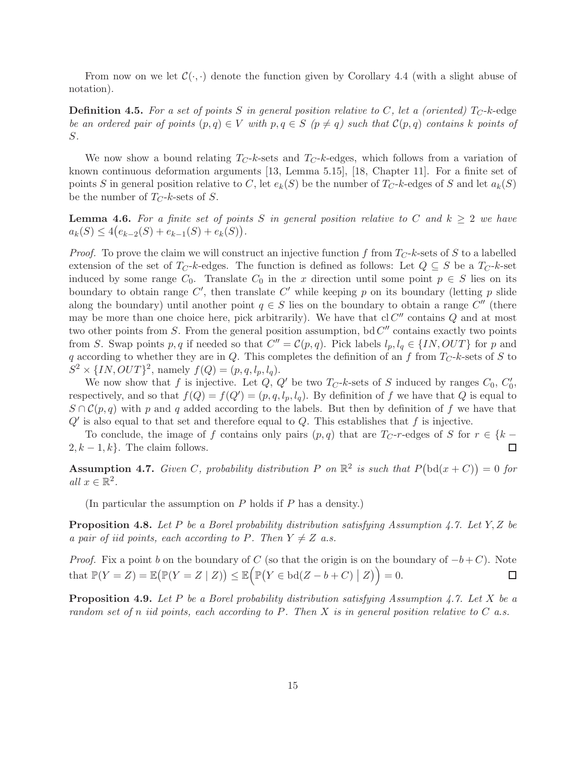From now on we let  $\mathcal{C}(\cdot, \cdot)$  denote the function given by Corollary [4.4](#page-13-2) (with a slight abuse of notation).

**Definition 4.5.** For a set of points S in general position relative to C, let a (oriented)  $T_C$ -k-edge be an ordered pair of points  $(p,q) \in V$  with  $p,q \in S$   $(p \neq q)$  such that  $\mathcal{C}(p,q)$  contains k points of S.

We now show a bound relating  $T_C-k$ -sets and  $T_C-k$ -edges, which follows from a variation of known continuous deformation arguments [\[13,](#page-22-7) Lemma 5.15], [\[18,](#page-22-15) Chapter 11]. For a finite set of points S in general position relative to C, let  $e_k(S)$  be the number of  $T_C$ -k-edges of S and let  $a_k(S)$ be the number of  $T_C-k$ -sets of S.

<span id="page-14-0"></span>**Lemma 4.6.** For a finite set of points S in general position relative to C and  $k \geq 2$  we have  $a_k(S) \leq 4(e_{k-2}(S) + e_{k-1}(S) + e_k(S)).$ 

*Proof.* To prove the claim we will construct an injective function f from  $T_C$ -k-sets of S to a labelled extension of the set of  $T_C-k$ -edges. The function is defined as follows: Let  $Q \subseteq S$  be a  $T_C-k$ -set induced by some range  $C_0$ . Translate  $C_0$  in the x direction until some point  $p \in S$  lies on its boundary to obtain range  $C'$ , then translate  $C'$  while keeping p on its boundary (letting p slide along the boundary) until another point  $q \in S$  lies on the boundary to obtain a range  $C''$  (there may be more than one choice here, pick arbitrarily). We have that  $cl C''$  contains Q and at most two other points from S. From the general position assumption,  $bd C''$  contains exactly two points from S. Swap points p, q if needed so that  $C'' = C(p,q)$ . Pick labels  $l_p, l_q \in \{IN, OUT\}$  for p and q according to whether they are in Q. This completes the definition of an f from  $T_C$ -k-sets of S to  $S^2 \times \{IN, OUT\}^2$ , namely  $f(Q) = (p, q, l_p, l_q)$ .

We now show that f is injective. Let  $Q$ ,  $Q'$  be two  $T_C$ -k-sets of S induced by ranges  $C_0$ ,  $C'_0$ , respectively, and so that  $f(Q) = f(Q') = (p, q, l_p, l_q)$ . By definition of f we have that Q is equal to  $S \cap C(p,q)$  with p and q added according to the labels. But then by definition of f we have that  $Q'$  is also equal to that set and therefore equal to  $Q$ . This establishes that f is injective.

To conclude, the image of f contains only pairs  $(p, q)$  that are  $T_C$ -r-edges of S for  $r \in \{k - 1, k\}$ . The claim follows.  $2, k-1, k$ . The claim follows.

<span id="page-14-1"></span>**Assumption 4.7.** Given C, probability distribution P on  $\mathbb{R}^2$  is such that  $P(\text{bd}(x+C))=0$  for all  $x \in \mathbb{R}^2$ .

<span id="page-14-2"></span>(In particular the assumption on  $P$  holds if  $P$  has a density.)

**Proposition 4.8.** Let P be a Borel probability distribution satisfying Assumption [4.7.](#page-14-1) Let Y, Z be a pair of iid points, each according to P. Then  $Y \neq Z$  a.s.

*Proof.* Fix a point b on the boundary of C (so that the origin is on the boundary of  $-b+C$ ). Note that  $\mathbb{P}(Y = Z) = \mathbb{E}(\mathbb{P}(Y = Z | Z)) \leq \mathbb{E}(\mathbb{P}(Y \in bd(Z - b + C) | Z)) = 0.$  $\Box$ 

<span id="page-14-3"></span>**Proposition 4.9.** Let P be a Borel probability distribution satisfying Assumption [4.7.](#page-14-1) Let X be a random set of n iid points, each according to P. Then X is in general position relative to  $C$  a.s.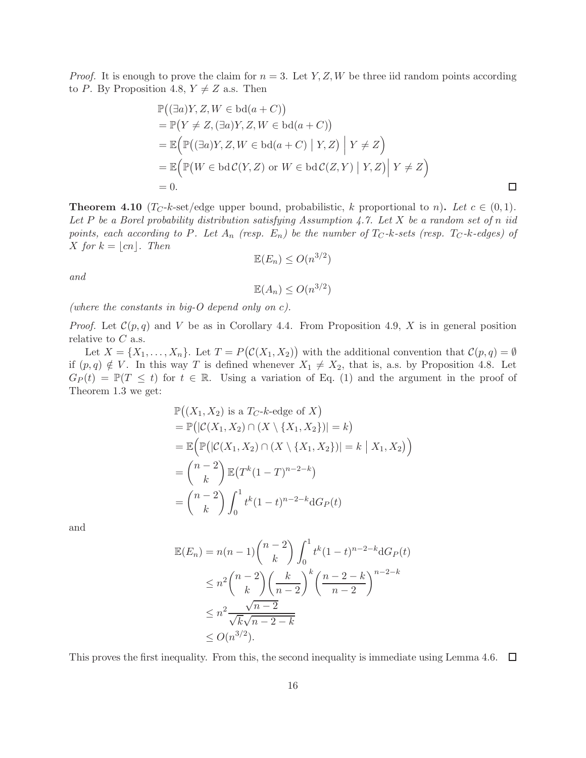*Proof.* It is enough to prove the claim for  $n = 3$ . Let Y, Z, W be three iid random points according to P. By Proposition [4.8,](#page-14-2)  $Y \neq Z$  a.s. Then

$$
\mathbb{P}((\exists a)Y, Z, W \in bd(a + C))
$$
\n
$$
= \mathbb{P}(Y \neq Z, (\exists a)Y, Z, W \in bd(a + C))
$$
\n
$$
= \mathbb{E}(\mathbb{P}((\exists a)Y, Z, W \in bd(a + C) | Y, Z) | Y \neq Z)
$$
\n
$$
= \mathbb{E}(\mathbb{P}(W \in bdC(Y, Z) \text{ or } W \in bdC(Z, Y) | Y, Z) | Y \neq Z)
$$
\n
$$
= 0.
$$

<span id="page-15-0"></span>**Theorem 4.10** ( $T_C-k$ -set/edge upper bound, probabilistic, k proportional to n). Let  $c \in (0,1)$ . Let P be a Borel probability distribution satisfying Assumption [4.7.](#page-14-1) Let X be a random set of n iid points, each according to P. Let  $A_n$  (resp.  $E_n$ ) be the number of  $T_C$ -k-sets (resp.  $T_C$ -k-edges) of X for  $k = \lfloor cn \rfloor$ . Then

$$
\mathbb{E}(E_n) \le O(n^{3/2})
$$

and

 $\mathbb{E}(A_n) \leq O(n^{3/2})$ 

(where the constants in big-O depend only on c).

*Proof.* Let  $\mathcal{C}(p,q)$  and V be as in Corollary [4.4.](#page-13-2) From Proposition [4.9,](#page-14-3) X is in general position relative to  $C$  a.s.

Let  $X = \{X_1, \ldots, X_n\}$ . Let  $T = P(C(X_1, X_2))$  with the additional convention that  $C(p, q) = \emptyset$ if  $(p, q) \notin V$ . In this way T is defined whenever  $X_1 \neq X_2$ , that is, a.s. by Proposition [4.8.](#page-14-2) Let  $G_P(t) = \mathbb{P}(T \leq t)$  for  $t \in \mathbb{R}$ . Using a variation of Eq. [\(1\)](#page-2-0) and the argument in the proof of Theorem [1.3](#page-3-0) we get:

$$
\mathbb{P}((X_1, X_2) \text{ is a } T_C-k\text{-edge of } X) \n= \mathbb{P}(|\mathcal{C}(X_1, X_2) \cap (X \setminus \{X_1, X_2\})| = k) \n= \mathbb{E}\Big(\mathbb{P}(|\mathcal{C}(X_1, X_2) \cap (X \setminus \{X_1, X_2\})| = k \mid X_1, X_2)\Big) \n= {n-2 \choose k} \mathbb{E}(T^k(1-T)^{n-2-k}) \n= {n-2 \choose k} \int_0^1 t^k(1-t)^{n-2-k} dG_P(t)
$$

and

$$
\mathbb{E}(E_n) = n(n-1) \binom{n-2}{k} \int_0^1 t^k (1-t)^{n-2-k} dG_P(t)
$$
  
\n
$$
\leq n^2 \binom{n-2}{k} \left(\frac{k}{n-2}\right)^k \left(\frac{n-2-k}{n-2}\right)^{n-2-k}
$$
  
\n
$$
\leq n^2 \frac{\sqrt{n-2}}{\sqrt{k}\sqrt{n-2-k}}
$$
  
\n
$$
\leq O(n^{3/2}).
$$

This proves the first inequality. From this, the second inequality is immediate using Lemma [4.6.](#page-14-0)  $\Box$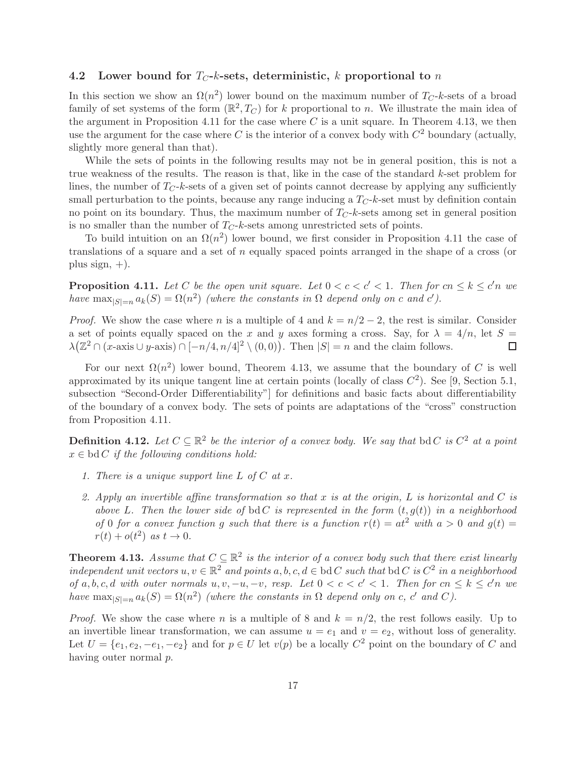#### 4.2 Lower bound for  $T_C-k$ -sets, deterministic, k proportional to n

In this section we show an  $\Omega(n^2)$  lower bound on the maximum number of  $T_C$ -k-sets of a broad family of set systems of the form  $(\mathbb{R}^2, T_C)$  for k proportional to n. We illustrate the main idea of the argument in Proposition [4.11](#page-16-2) for the case where  $C$  is a unit square. In Theorem [4.13,](#page-16-1) we then use the argument for the case where C is the interior of a convex body with  $C^2$  boundary (actually, slightly more general than that).

While the sets of points in the following results may not be in general position, this is not a true weakness of the results. The reason is that, like in the case of the standard  $k$ -set problem for lines, the number of  $T_C-k$ -sets of a given set of points cannot decrease by applying any sufficiently small perturbation to the points, because any range inducing a  $T_C$ -k-set must by definition contain no point on its boundary. Thus, the maximum number of  $T_C-k$ -sets among set in general position is no smaller than the number of  $T_C-k$ -sets among unrestricted sets of points.

To build intuition on an  $\Omega(n^2)$  lower bound, we first consider in Proposition [4.11](#page-16-2) the case of translations of a square and a set of n equally spaced points arranged in the shape of a cross (or plus sign, +).

<span id="page-16-2"></span>**Proposition 4.11.** Let C be the open unit square. Let  $0 < c < c' < 1$ . Then for  $cn \le k \le c'n$  we have  $\max_{|S|=n} a_k(S) = \Omega(n^2)$  (where the constants in  $\Omega$  depend only on c and c').

*Proof.* We show the case where n is a multiple of 4 and  $k = n/2 - 2$ , the rest is similar. Consider a set of points equally spaced on the x and y axes forming a cross. Say, for  $\lambda = 4/n$ , let  $S =$  $\lambda(\mathbb{Z}^2 \cap (x\text{-axis} \cup y\text{-axis}) \cap [-n/4, n/4]^2 \setminus (0,0)).$  Then  $|S| = n$  and the claim follows.  $\Box$ 

For our next  $\Omega(n^2)$  lower bound, Theorem [4.13,](#page-16-1) we assume that the boundary of C is well approximated by its unique tangent line at certain points (locally of class  $C^2$ ). See [\[9,](#page-22-16) Section 5.1, subsection "Second-Order Differentiability"] for definitions and basic facts about differentiability of the boundary of a convex body. The sets of points are adaptations of the "cross" construction from Proposition [4.11.](#page-16-2)

<span id="page-16-0"></span>**Definition 4.12.** Let  $C \subseteq \mathbb{R}^2$  be the interior of a convex body. We say that bd C is  $C^2$  at a point  $x \in bd C$  if the following conditions hold:

- 1. There is a unique support line  $L$  of  $C$  at  $x$ .
- 2. Apply an invertible affine transformation so that x is at the origin, L is horizontal and C is above L. Then the lower side of bd C is represented in the form  $(t, g(t))$  in a neighborhood of 0 for a convex function g such that there is a function  $r(t) = at^2$  with  $a > 0$  and  $g(t) =$  $r(t) + o(t^2)$  as  $t \to 0$ .

<span id="page-16-1"></span>**Theorem 4.13.** Assume that  $C \subseteq \mathbb{R}^2$  is the interior of a convex body such that there exist linearly independent unit vectors  $u, v \in \mathbb{R}^2$  and points  $a, b, c, d \in \text{bd } C$  such that  $\text{bd } C$  is  $C^2$  in a neighborhood of a, b, c, d with outer normals  $u, v, -u, -v$ , resp. Let  $0 < c < c' < 1$ . Then for  $cn \le k \le c'n$  we have  $\max_{|S|=n} a_k(S) = \Omega(n^2)$  (where the constants in  $\Omega$  depend only on c, c' and C).

*Proof.* We show the case where n is a multiple of 8 and  $k = n/2$ , the rest follows easily. Up to an invertible linear transformation, we can assume  $u = e_1$  and  $v = e_2$ , without loss of generality. Let  $U = \{e_1, e_2, -e_1, -e_2\}$  and for  $p \in U$  let  $v(p)$  be a locally  $C^2$  point on the boundary of C and having outer normal p.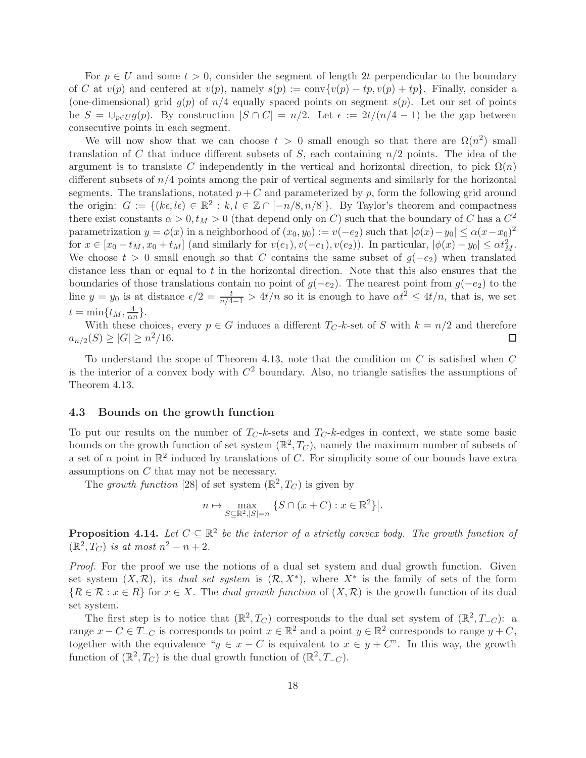For  $p \in U$  and some  $t > 0$ , consider the segment of length 2t perpendicular to the boundary of C at  $v(p)$  and centered at  $v(p)$ , namely  $s(p) := \text{conv}\{v(p) - tp, v(p) + tp\}$ . Finally, consider a (one-dimensional) grid  $g(p)$  of  $n/4$  equally spaced points on segment  $s(p)$ . Let our set of points be  $S = \bigcup_{p \in U} g(p)$ . By construction  $|S \cap C| = n/2$ . Let  $\epsilon := 2t/(n/4 - 1)$  be the gap between consecutive points in each segment.

We will now show that we can choose  $t > 0$  small enough so that there are  $\Omega(n^2)$  small translation of C that induce different subsets of S, each containing  $n/2$  points. The idea of the argument is to translate C independently in the vertical and horizontal direction, to pick  $\Omega(n)$ different subsets of  $n/4$  points among the pair of vertical segments and similarly for the horizontal segments. The translations, notated  $p + C$  and parameterized by p, form the following grid around the origin:  $G := \{(k\epsilon, l\epsilon) \in \mathbb{R}^2 : k, l \in \mathbb{Z} \cap [-n/8, n/8]\}.$  By Taylor's theorem and compactness there exist constants  $\alpha > 0, t_M > 0$  (that depend only on C) such that the boundary of C has a  $C^2$ parametrization  $y = \phi(x)$  in a neighborhood of  $(x_0, y_0) := v(-e_2)$  such that  $|\phi(x) - y_0| \le \alpha(x - x_0)^2$ for  $x \in [x_0 - t_M, x_0 + t_M]$  (and similarly for  $v(e_1), v(-e_1), v(e_2)$ ). In particular,  $|\phi(x) - y_0| \le \alpha t_M^2$ . We choose  $t > 0$  small enough so that C contains the same subset of  $g(-e_2)$  when translated distance less than or equal to  $t$  in the horizontal direction. Note that this also ensures that the boundaries of those translations contain no point of  $g(-e_2)$ . The nearest point from  $g(-e_2)$  to the line  $y = y_0$  is at distance  $\epsilon/2 = \frac{t}{n/4-1} > 4t/n$  so it is enough to have  $\alpha t^2 \leq 4t/n$ , that is, we set  $t = \min\{t_M, \frac{4}{\alpha t}\}$  $\frac{4}{\alpha n}$ .

With these choices, every  $p \in G$  induces a different  $T_C$ -k-set of S with  $k = n/2$  and therefore  $p(S) > |G| > n^2/16$ .  $a_{n/2}(S) \geq |G| \geq n^2/16.$ 

To understand the scope of Theorem [4.13,](#page-16-1) note that the condition on  $C$  is satisfied when  $C$ is the interior of a convex body with  $C^2$  boundary. Also, no triangle satisfies the assumptions of Theorem [4.13.](#page-16-1)

#### 4.3 Bounds on the growth function

To put our results on the number of  $T_{C}$ -k-sets and  $T_{C}$ -k-edges in context, we state some basic bounds on the growth function of set system  $(\mathbb{R}^2, T_C)$ , namely the maximum number of subsets of a set of n point in  $\mathbb{R}^2$  induced by translations of C. For simplicity some of our bounds have extra assumptions on C that may not be necessary.

The growth function [\[28\]](#page-23-3) of set system  $(\mathbb{R}^2, T_C)$  is given by

$$
n \mapsto \max_{S \subseteq \mathbb{R}^2, |S| = n} |\{ S \cap (x + C) : x \in \mathbb{R}^2 \}|.
$$

<span id="page-17-0"></span>**Proposition 4.14.** Let  $C \subseteq \mathbb{R}^2$  be the interior of a strictly convex body. The growth function of  $(\mathbb{R}^2, T_C)$  is at most  $n^2 - n + 2$ .

Proof. For the proof we use the notions of a dual set system and dual growth function. Given set system  $(X, \mathcal{R})$ , its *dual set system* is  $(\mathcal{R}, X^*)$ , where  $X^*$  is the family of sets of the form  ${R \in \mathcal{R} : x \in R}$  for  $x \in X$ . The dual growth function of  $(X, \mathcal{R})$  is the growth function of its dual set system.

The first step is to notice that  $(\mathbb{R}^2, T_C)$  corresponds to the dual set system of  $(\mathbb{R}^2, T_{-C})$ : a range  $x - C \in T_{-C}$  is corresponds to point  $x \in \mathbb{R}^2$  and a point  $y \in \mathbb{R}^2$  corresponds to range  $y + C$ , together with the equivalence " $y \in x - C$  is equivalent to  $x \in y + C$ ". In this way, the growth function of  $(\mathbb{R}^2, T_C)$  is the dual growth function of  $(\mathbb{R}^2, T_{-C})$ .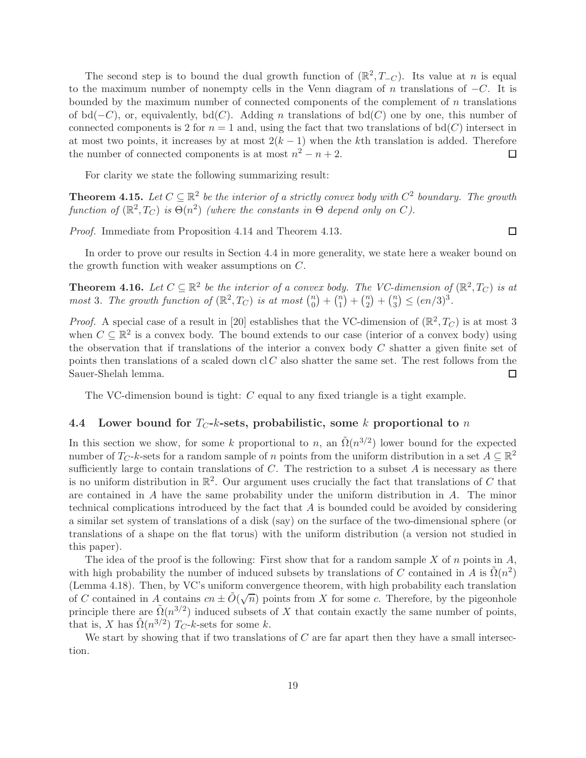The second step is to bound the dual growth function of  $(\mathbb{R}^2, T_{-C})$ . Its value at n is equal to the maximum number of nonempty cells in the Venn diagram of n translations of  $-C$ . It is bounded by the maximum number of connected components of the complement of  $n$  translations of bd( $-C$ ), or, equivalently, bd( $C$ ). Adding n translations of bd( $C$ ) one by one, this number of connected components is 2 for  $n = 1$  and, using the fact that two translations of bd(C) intersect in at most two points, it increases by at most  $2(k-1)$  when the kth translation is added. Therefore the number of connected components is at most  $n^2 - n + 2$ . □ the number of connected components is at most  $n^2 - n + 2$ .

For clarity we state the following summarizing result:

**Theorem 4.15.** Let  $C \subseteq \mathbb{R}^2$  be the interior of a strictly convex body with  $C^2$  boundary. The growth function of  $(\mathbb{R}^2, T_C)$  is  $\Theta(n^2)$  (where the constants in  $\Theta$  depend only on C).

Proof. Immediate from Proposition [4.14](#page-17-0) and Theorem [4.13.](#page-16-1)

 $\Box$ 

<span id="page-18-2"></span>In order to prove our results in Section [4.4](#page-18-0) in more generality, we state here a weaker bound on the growth function with weaker assumptions on C.

**Theorem 4.16.** Let  $C \subseteq \mathbb{R}^2$  be the interior of a convex body. The VC-dimension of  $(\mathbb{R}^2, T_C)$  is at most 3. The growth function of  $(\mathbb{R}^2, T_C)$  is at most  $\binom{n}{0}$  $\binom{n}{0} + \binom{n}{1}$  $\binom{n}{1} + \binom{n}{2}$  $\binom{n}{2} + \binom{n}{3}$  $\binom{n}{3} \leq (en/3)^3.$ 

*Proof.* A special case of a result in [\[20\]](#page-23-7) establishes that the VC-dimension of  $(\mathbb{R}^2, T_C)$  is at most 3 when  $C \subseteq \mathbb{R}^2$  is a convex body. The bound extends to our case (interior of a convex body) using the observation that if translations of the interior a convex body  $C$  shatter a given finite set of points then translations of a scaled down cl  $C$  also shatter the same set. The rest follows from the Sauer-Shelah lemma.  $\Box$ 

The VC-dimension bound is tight: C equal to any fixed triangle is a tight example.

#### <span id="page-18-0"></span>4.4 Lower bound for  $T_C-k$ -sets, probabilistic, some k proportional to n

In this section we show, for some k proportional to n, an  $\tilde{\Omega}(n^{3/2})$  lower bound for the expected number of  $T_C$ -k-sets for a random sample of n points from the uniform distribution in a set  $A \subseteq \mathbb{R}^2$ sufficiently large to contain translations of  $C$ . The restriction to a subset  $A$  is necessary as there is no uniform distribution in  $\mathbb{R}^2$ . Our argument uses crucially the fact that translations of C that are contained in A have the same probability under the uniform distribution in A. The minor technical complications introduced by the fact that  $A$  is bounded could be avoided by considering a similar set system of translations of a disk (say) on the surface of the two-dimensional sphere (or translations of a shape on the flat torus) with the uniform distribution (a version not studied in this paper).

The idea of the proof is the following: First show that for a random sample X of n points in  $A$ , with high probability the number of induced subsets by translations of C contained in A is  $\tilde{\Omega}(n^2)$ (Lemma [4.18\)](#page-19-0). Then, by VC's uniform convergence theorem, with high probability each translation of C contained in A contains  $cn \pm \tilde{O}(\sqrt{n})$  points from X for some c. Therefore, by the pigeonhole principle there are  $\tilde{\Omega}(n^{3/2})$  induced subsets of X that contain exactly the same number of points, that is, X has  $\tilde{\Omega}(n^{3/2})$  T<sub>C</sub>-k-sets for some k.

<span id="page-18-1"></span>We start by showing that if two translations of  $C$  are far apart then they have a small intersection.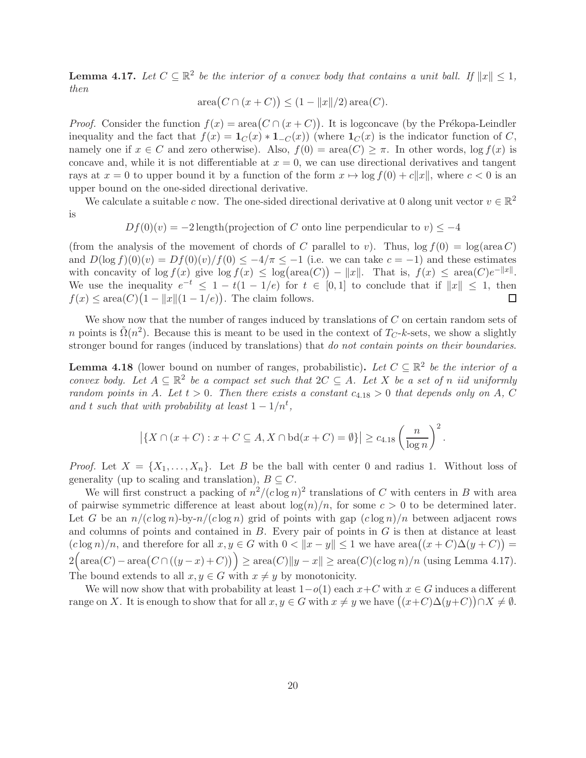**Lemma 4.17.** Let  $C \subseteq \mathbb{R}^2$  be the interior of a convex body that contains a unit ball. If  $||x|| \leq 1$ , then

$$
\operatorname{area}(C \cap (x + C)) \le (1 - ||x||/2) \operatorname{area}(C).
$$

*Proof.* Consider the function  $f(x) = \text{area}(C \cap (x + C))$ . It is logconcave (by the Prékopa-Leindler inequality and the fact that  $f(x) = \mathbf{1}_C(x) * \mathbf{1}_{-C}(x)$  (where  $\mathbf{1}_C(x)$  is the indicator function of C, namely one if  $x \in C$  and zero otherwise). Also,  $f(0) = \text{area}(C) \geq \pi$ . In other words,  $\log f(x)$  is concave and, while it is not differentiable at  $x = 0$ , we can use directional derivatives and tangent rays at  $x = 0$  to upper bound it by a function of the form  $x \mapsto \log f(0) + c||x||$ , where  $c < 0$  is an upper bound on the one-sided directional derivative.

We calculate a suitable c now. The one-sided directional derivative at 0 along unit vector  $v \in \mathbb{R}^2$ is

 $Df(0)(v) = -2$  length(projection of C onto line perpendicular to  $v \leq -4$ 

(from the analysis of the movement of chords of C parallel to v). Thus,  $log f(0) = log(area C)$ and  $D(\log f)(0)(v) = Df(0)(v)/f(0) \leq -4/\pi \leq -1$  (i.e. we can take  $c = -1$ ) and these estimates with concavity of  $\log f(x)$  give  $\log f(x) \leq \log(\text{area}(C)) - ||x||$ . That is,  $f(x) \leq \text{area}(C)e^{-||x||}$ . We use the inequality  $e^{-t} \leq 1 - t(1 - 1/e)$  for  $t \in [0, 1]$  to conclude that if  $||x|| \leq 1$ , then  $f(x) \leq \text{area}(C) \left(1 - \|x\|(1 - 1/e)\right)$ . The claim follows.

We show now that the number of ranges induced by translations of  $C$  on certain random sets of n points is  $\tilde{\Omega}(n^2)$ . Because this is meant to be used in the context of  $T_C$ -k-sets, we show a slightly stronger bound for ranges (induced by translations) that do not contain points on their boundaries.

<span id="page-19-0"></span>**Lemma 4.18** (lower bound on number of ranges, probabilistic). Let  $C \subseteq \mathbb{R}^2$  be the interior of a convex body. Let  $A \subseteq \mathbb{R}^2$  be a compact set such that  $2C \subseteq A$ . Let X be a set of n iid uniformly random points in A. Let  $t > 0$ . Then there exists a constant  $c_{4.18} > 0$  that depends only on A, C and t such that with probability at least  $1 - 1/n^t$ ,

$$
\left| \{ X \cap (x+C) : x+C \subseteq A, X \cap \text{bd}(x+C) = \emptyset \} \right| \geq c_{4.18} \left( \frac{n}{\log n} \right)^2.
$$

*Proof.* Let  $X = \{X_1, \ldots, X_n\}$ . Let B be the ball with center 0 and radius 1. Without loss of generality (up to scaling and translation),  $B \subseteq C$ .

We will first construct a packing of  $n^2/(c \log n)^2$  translations of C with centers in B with area of pairwise symmetric difference at least about  $\log(n)/n$ , for some  $c > 0$  to be determined later. Let G be an  $n/(c \log n)$ -by- $n/(c \log n)$  grid of points with gap  $(c \log n)/n$  between adjacent rows and columns of points and contained in  $B$ . Every pair of points in  $G$  is then at distance at least  $(c \log n)/n$ , and therefore for all  $x, y \in G$  with  $0 < ||x - y|| \le 1$  we have  $area((x + C)\Delta(y + C)) =$  $2\Big(\text{area}(C) - \text{area}(C \cap ((y-x)+C)\big)\Big) \ge \text{area}(C) \|y-x\| \ge \text{area}(C)(c \log n)/n \text{ (using Lemma 4.17)}.$  $2\Big(\text{area}(C) - \text{area}(C \cap ((y-x)+C)\big)\Big) \ge \text{area}(C) \|y-x\| \ge \text{area}(C)(c \log n)/n \text{ (using Lemma 4.17)}.$  $2\Big(\text{area}(C) - \text{area}(C \cap ((y-x)+C)\big)\Big) \ge \text{area}(C) \|y-x\| \ge \text{area}(C)(c \log n)/n \text{ (using Lemma 4.17)}.$ The bound extends to all  $x, y \in G$  with  $x \neq y$  by monotonicity.

We will now show that with probability at least  $1-o(1)$  each  $x+C$  with  $x \in G$  induces a different range on X. It is enough to show that for all  $x, y \in G$  with  $x \neq y$  we have  $((x+C)\Delta(y+C)) \cap X \neq \emptyset$ .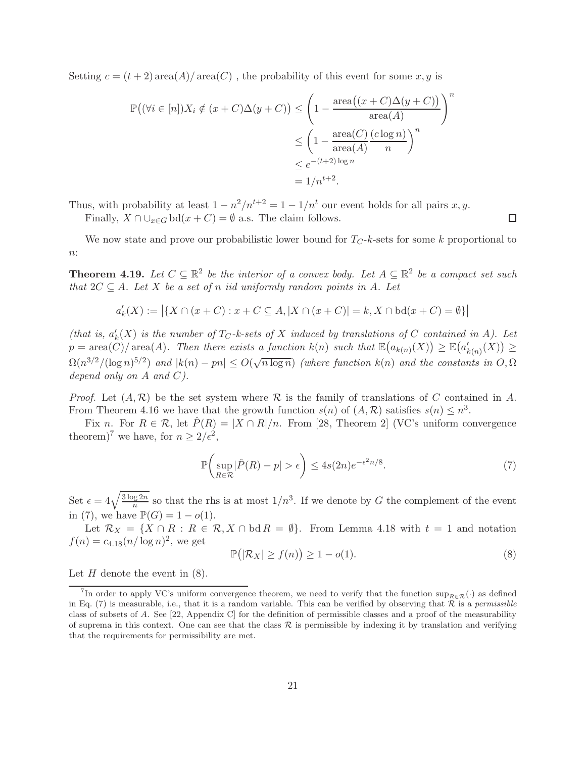Setting  $c = (t + 2) \text{area}(A) / \text{area}(C)$ , the probability of this event for some x, y is

$$
\mathbb{P}((\forall i \in [n])X_i \notin (x + C)\Delta(y + C)) \le \left(1 - \frac{\text{area}((x + C)\Delta(y + C))}{\text{area}(A)}\right)^n
$$
  

$$
\le \left(1 - \frac{\text{area}(C)}{\text{area}(A)}\frac{(c\log n)}{n}\right)^n
$$
  

$$
\le e^{-(t+2)\log n}
$$
  

$$
= 1/n^{t+2}.
$$

Thus, with probability at least  $1 - n^2/n^{t+2} = 1 - 1/n^t$  our event holds for all pairs  $x, y$ .

Finally,  $X \cap \bigcup_{x \in G} \text{bd}(x + C) = \emptyset$  a.s. The claim follows.

<span id="page-20-0"></span>We now state and prove our probabilistic lower bound for  $T_C-k$ -sets for some k proportional to  $n$ :

**Theorem 4.19.** Let  $C \subseteq \mathbb{R}^2$  be the interior of a convex body. Let  $A \subseteq \mathbb{R}^2$  be a compact set such that  $2C \subseteq A$ . Let X be a set of n iid uniformly random points in A. Let

$$
a'_k(X) := |\{ X \cap (x + C) : x + C \subseteq A, |X \cap (x + C)| = k, X \cap \text{bd}(x + C) = \emptyset \}|
$$

(that is,  $a'_k(X)$  is the number of  $T_C$ -k-sets of X induced by translations of C contained in A). Let  $p = \text{area}(\hat{C}) / \text{area}(A)$ . Then there exists a function  $k(n)$  such that  $\mathbb{E}(a_{k(n)}(X)) \geq \mathbb{E}(a'_{k(n)}(X)) \geq$  $\Omega(n^{3/2}/(\log n)^{5/2})$  and  $|k(n) - pn| \leq O(\sqrt{n \log n})$  (where function  $k(n)$  and the constants in  $O, \Omega$ depend only on A and C).

*Proof.* Let  $(A, \mathcal{R})$  be the set system where  $\mathcal{R}$  is the family of translations of C contained in A. From Theorem [4.16](#page-18-2) we have that the growth function  $s(n)$  of  $(A, \mathcal{R})$  satisfies  $s(n) \leq n^3$ .

Fix n. For  $R \in \mathcal{R}$ , let  $\hat{P}(R) = |X \cap R|/n$ . From [\[28,](#page-23-3) Theorem 2] (VC's uniform convergence theorem)<sup>[7](#page-20-1)</sup> we have, for  $n \geq 2/\epsilon^2$ ,

<span id="page-20-2"></span>
$$
\mathbb{P}\left(\sup_{R\in\mathcal{R}}|\hat{P}(R)-p|>\epsilon\right)\leq 4s(2n)e^{-\epsilon^2n/8}.\tag{7}
$$

Set  $\epsilon = 4\sqrt{\frac{3\log 2n}{n}}$  $\frac{q}{n}$  so that the rhs is at most  $1/n^3$ . If we denote by G the complement of the event in [\(7\)](#page-20-2), we have  $\mathbb{P}(G) = 1 - o(1)$ .

Let  $\mathcal{R}_X = \{X \cap R : R \in \mathcal{R}, X \cap \text{bd } R = \emptyset\}$ . From Lemma [4.18](#page-19-0) with  $t = 1$  and notation  $f(n) = c_{4.18}(n/\log n)^2$ , we get

<span id="page-20-3"></span>
$$
\mathbb{P}(|\mathcal{R}_X| \ge f(n)) \ge 1 - o(1). \tag{8}
$$

Let  $H$  denote the event in  $(8)$ .

 $\Box$ 

<span id="page-20-1"></span><sup>&</sup>lt;sup>7</sup>In order to apply VC's uniform convergence theorem, we need to verify that the function  $\sup_{R\in\mathcal{R}}(\cdot)$  as defined in Eq. [\(7\)](#page-20-2) is measurable, i.e., that it is a random variable. This can be verified by observing that  $\mathcal R$  is a permissible class of subsets of A. See [\[22,](#page-23-8) Appendix C] for the definition of permissible classes and a proof of the measurability of suprema in this context. One can see that the class  $R$  is permissible by indexing it by translation and verifying that the requirements for permissibility are met.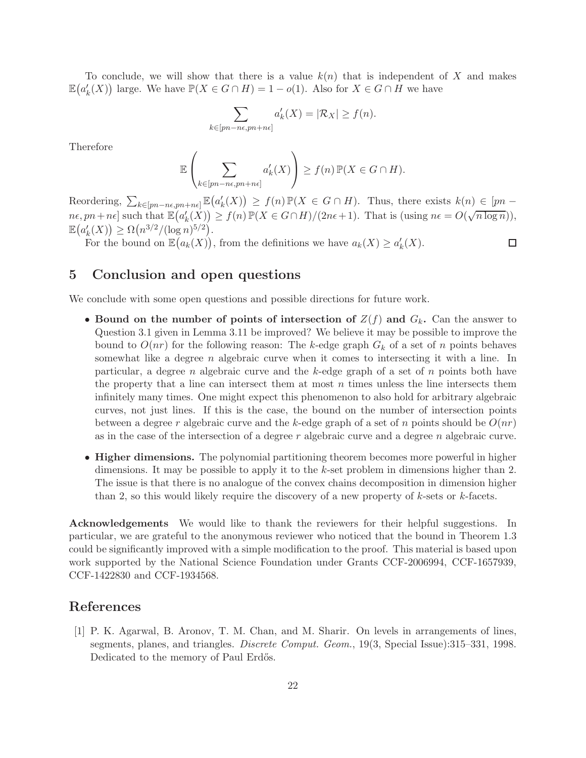To conclude, we will show that there is a value  $k(n)$  that is independent of X and makes  $\mathbb{E}(a'_k(X))$  large. We have  $\mathbb{P}(X \in G \cap H) = 1 - o(1)$ . Also for  $X \in G \cap H$  we have

$$
\sum_{k \in [pn - ne, pn + ne]} a'_k(X) = |\mathcal{R}_X| \ge f(n).
$$

Therefore

$$
\mathbb{E}\left(\sum_{k\in [pn-n\epsilon, pn+n\epsilon]} a'_k(X)\right) \ge f(n) \mathbb{P}(X \in G \cap H).
$$

Reordering,  $\sum_{k\in [pn-n\epsilon, pn+n\epsilon]} \mathbb{E}(a'_k(X)) \ge f(n) \mathbb{P}(X \in G \cap H)$ . Thus, there exists  $k(n) \le [pn-n\epsilon, pn+n\epsilon]$  $n\epsilon, pn+n\epsilon$  such that  $\mathbb{E}(a'_k(X)) \geq f(n)\mathbb{P}(X \in G \cap H)/(2n\epsilon+1)$ . That is (using  $n\epsilon = O(\sqrt{n \log n}),$  $\mathbb{E}(a'_k(X)) \ge \Omega(n^{3/2}/(\log n)^{5/2}).$ 

For the bound on  $\mathbb{E}(a_k(X))$ , from the definitions we have  $a_k(X) \ge a'_k(X)$ .

 $\Box$ 

## <span id="page-21-0"></span>5 Conclusion and open questions

We conclude with some open questions and possible directions for future work.

- Bound on the number of points of intersection of  $Z(f)$  and  $G_k$ . Can the answer to Question [3.1](#page-7-1) given in Lemma [3.11](#page-11-0) be improved? We believe it may be possible to improve the bound to  $O(nr)$  for the following reason: The k-edge graph  $G_k$  of a set of n points behaves somewhat like a degree n algebraic curve when it comes to intersecting it with a line. In particular, a degree n algebraic curve and the k-edge graph of a set of  $n$  points both have the property that a line can intersect them at most  $n$  times unless the line intersects them infinitely many times. One might expect this phenomenon to also hold for arbitrary algebraic curves, not just lines. If this is the case, the bound on the number of intersection points between a degree r algebraic curve and the k-edge graph of a set of n points should be  $O(nr)$ as in the case of the intersection of a degree r algebraic curve and a degree n algebraic curve.
- Higher dimensions. The polynomial partitioning theorem becomes more powerful in higher dimensions. It may be possible to apply it to the  $k$ -set problem in dimensions higher than 2. The issue is that there is no analogue of the convex chains decomposition in dimension higher than 2, so this would likely require the discovery of a new property of  $k$ -sets or  $k$ -facets.

Acknowledgements We would like to thank the reviewers for their helpful suggestions. In particular, we are grateful to the anonymous reviewer who noticed that the bound in Theorem [1.3](#page-3-0) could be significantly improved with a simple modification to the proof. This material is based upon work supported by the National Science Foundation under Grants CCF-2006994, CCF-1657939, CCF-1422830 and CCF-1934568.

### <span id="page-21-1"></span>References

[1] P. K. Agarwal, B. Aronov, T. M. Chan, and M. Sharir. On levels in arrangements of lines, segments, planes, and triangles. Discrete Comput. Geom., 19(3, Special Issue):315–331, 1998. Dedicated to the memory of Paul Erdős.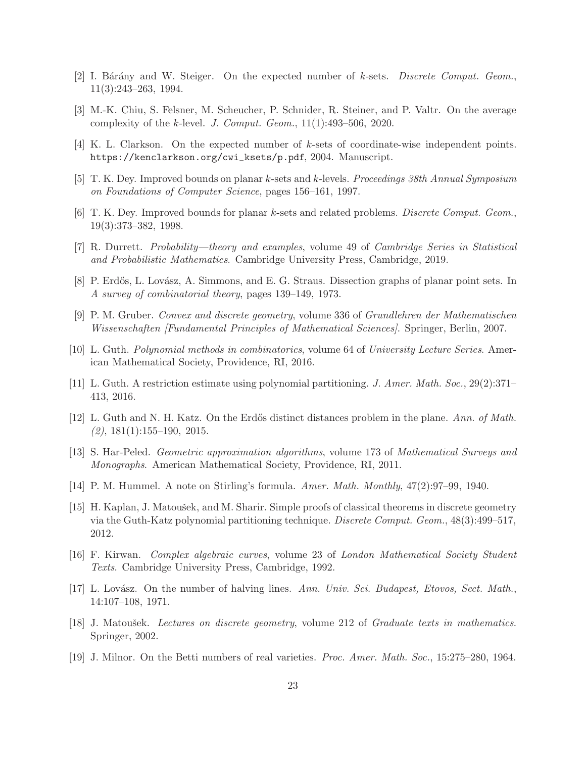- <span id="page-22-5"></span><span id="page-22-3"></span>[2] I. Bárány and W. Steiger. On the expected number of  $k$ -sets. Discrete Comput. Geom., 11(3):243–263, 1994.
- <span id="page-22-4"></span>[3] M.-K. Chiu, S. Felsner, M. Scheucher, P. Schnider, R. Steiner, and P. Valtr. On the average complexity of the k-level. J. Comput. Geom.,  $11(1):493-506$ ,  $2020$ .
- <span id="page-22-2"></span>[4] K. L. Clarkson. On the expected number of k-sets of coordinate-wise independent points. [https://kenclarkson.org/cwi\\_ksets/p.pdf](https://kenclarkson.org/cwi_ksets/p.pdf), 2004. Manuscript.
- [5] T. K. Dey. Improved bounds on planar k-sets and k-levels. Proceedings 38th Annual Symposium on Foundations of Computer Science, pages 156–161, 1997.
- <span id="page-22-9"></span>[6] T. K. Dey. Improved bounds for planar k-sets and related problems. Discrete Comput. Geom., 19(3):373–382, 1998.
- <span id="page-22-1"></span>[7] R. Durrett. Probability—theory and examples, volume 49 of Cambridge Series in Statistical and Probabilistic Mathematics. Cambridge University Press, Cambridge, 2019.
- <span id="page-22-16"></span>[8] P. Erdős, L. Lovász, A. Simmons, and E. G. Straus. Dissection graphs of planar point sets. In A survey of combinatorial theory, pages 139–149, 1973.
- <span id="page-22-11"></span>[9] P. M. Gruber. Convex and discrete geometry, volume 336 of Grundlehren der Mathematischen Wissenschaften [Fundamental Principles of Mathematical Sciences]. Springer, Berlin, 2007.
- <span id="page-22-6"></span>[10] L. Guth. Polynomial methods in combinatorics, volume 64 of University Lecture Series. American Mathematical Society, Providence, RI, 2016.
- <span id="page-22-10"></span>[11] L. Guth. A restriction estimate using polynomial partitioning. J. Amer. Math. Soc., 29(2):371– 413, 2016.
- [12] L. Guth and N. H. Katz. On the Erdős distinct distances problem in the plane. Ann. of Math.  $(2), 181(1):155-190, 2015.$
- <span id="page-22-8"></span><span id="page-22-7"></span>[13] S. Har-Peled. Geometric approximation algorithms, volume 173 of Mathematical Surveys and Monographs. American Mathematical Society, Providence, RI, 2011.
- <span id="page-22-12"></span>[14] P. M. Hummel. A note on Stirling's formula. Amer. Math. Monthly, 47(2):97–99, 1940.
- [15] H. Kaplan, J. Matoušek, and M. Sharir. Simple proofs of classical theorems in discrete geometry via the Guth-Katz polynomial partitioning technique. Discrete Comput. Geom., 48(3):499–517, 2012.
- <span id="page-22-13"></span><span id="page-22-0"></span>[16] F. Kirwan. Complex algebraic curves, volume 23 of London Mathematical Society Student Texts. Cambridge University Press, Cambridge, 1992.
- [17] L. Lovász. On the number of halving lines. Ann. Univ. Sci. Budapest, Etovos, Sect. Math., 14:107–108, 1971.
- <span id="page-22-15"></span>[18] J. Matoušek. Lectures on discrete geometry, volume 212 of Graduate texts in mathematics. Springer, 2002.
- <span id="page-22-14"></span>[19] J. Milnor. On the Betti numbers of real varieties. Proc. Amer. Math. Soc., 15:275–280, 1964.